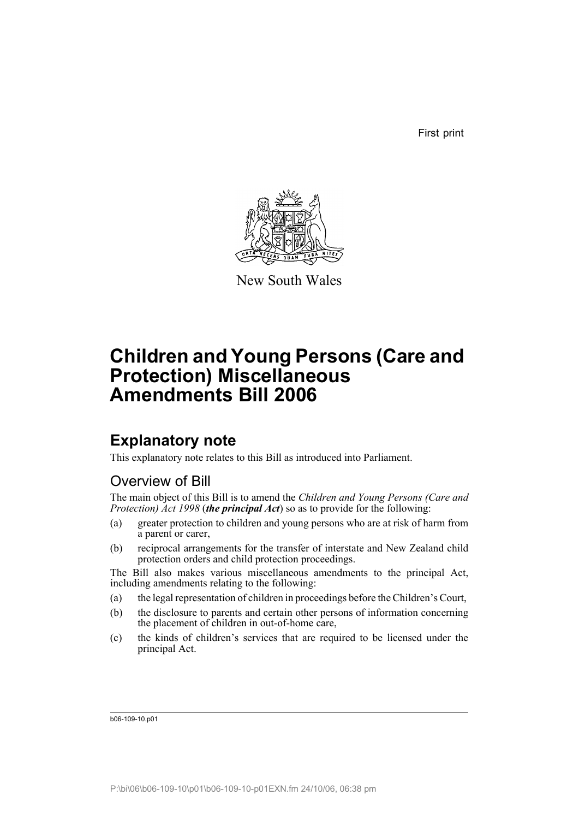First print



New South Wales

# **Children and Young Persons (Care and Protection) Miscellaneous Amendments Bill 2006**

## **Explanatory note**

This explanatory note relates to this Bill as introduced into Parliament.

## Overview of Bill

The main object of this Bill is to amend the *Children and Young Persons (Care and Protection) Act 1998* (*the principal Act*) so as to provide for the following:

- (a) greater protection to children and young persons who are at risk of harm from a parent or carer,
- (b) reciprocal arrangements for the transfer of interstate and New Zealand child protection orders and child protection proceedings.

The Bill also makes various miscellaneous amendments to the principal Act, including amendments relating to the following:

- (a) the legal representation of children in proceedings before the Children's Court,
- (b) the disclosure to parents and certain other persons of information concerning the placement of children in out-of-home care,
- (c) the kinds of children's services that are required to be licensed under the principal Act.

b06-109-10.p01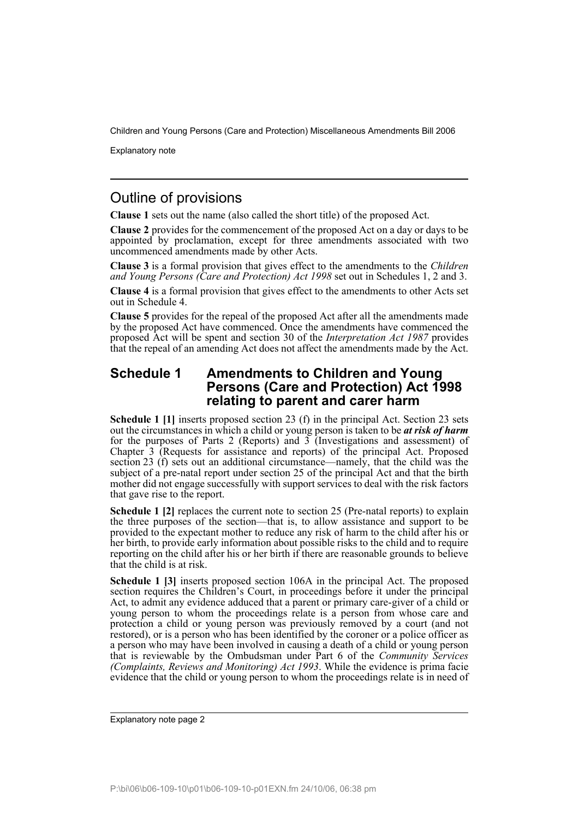Explanatory note

## Outline of provisions

**Clause 1** sets out the name (also called the short title) of the proposed Act.

**Clause 2** provides for the commencement of the proposed Act on a day or days to be appointed by proclamation, except for three amendments associated with two uncommenced amendments made by other Acts.

**Clause 3** is a formal provision that gives effect to the amendments to the *Children and Young Persons (Care and Protection) Act 1998* set out in Schedules 1, 2 and 3.

**Clause 4** is a formal provision that gives effect to the amendments to other Acts set out in Schedule 4.

**Clause 5** provides for the repeal of the proposed Act after all the amendments made by the proposed Act have commenced. Once the amendments have commenced the proposed Act will be spent and section 30 of the *Interpretation Act 1987* provides that the repeal of an amending Act does not affect the amendments made by the Act.

## **Schedule 1 Amendments to Children and Young Persons (Care and Protection) Act 1998 relating to parent and carer harm**

**Schedule 1 [1]** inserts proposed section 23 (f) in the principal Act. Section 23 sets out the circumstances in which a child or young person is taken to be *at risk of harm* for the purposes of Parts 2 (Reports) and  $\overline{3}$  (Investigations and assessment) of Chapter 3 (Requests for assistance and reports) of the principal Act. Proposed section 23 (f) sets out an additional circumstance—namely, that the child was the subject of a pre-natal report under section 25 of the principal Act and that the birth mother did not engage successfully with support services to deal with the risk factors that gave rise to the report.

**Schedule 1 [2]** replaces the current note to section 25 (Pre-natal reports) to explain the three purposes of the section—that is, to allow assistance and support to be provided to the expectant mother to reduce any risk of harm to the child after his or her birth, to provide early information about possible risks to the child and to require reporting on the child after his or her birth if there are reasonable grounds to believe that the child is at risk.

**Schedule 1 [3]** inserts proposed section 106A in the principal Act. The proposed section requires the Children's Court, in proceedings before it under the principal Act, to admit any evidence adduced that a parent or primary care-giver of a child or young person to whom the proceedings relate is a person from whose care and protection a child or young person was previously removed by a court (and not restored), or is a person who has been identified by the coroner or a police officer as a person who may have been involved in causing a death of a child or young person that is reviewable by the Ombudsman under Part 6 of the *Community Services (Complaints, Reviews and Monitoring) Act 1993*. While the evidence is prima facie evidence that the child or young person to whom the proceedings relate is in need of

Explanatory note page 2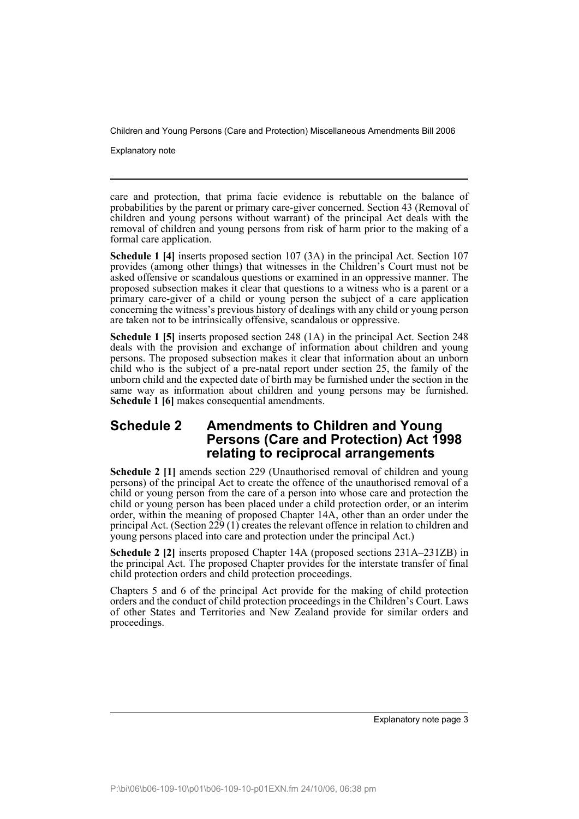Explanatory note

care and protection, that prima facie evidence is rebuttable on the balance of probabilities by the parent or primary care-giver concerned. Section 43 (Removal of children and young persons without warrant) of the principal Act deals with the removal of children and young persons from risk of harm prior to the making of a formal care application.

**Schedule 1 [4]** inserts proposed section 107 (3A) in the principal Act. Section 107 provides (among other things) that witnesses in the Children's Court must not be asked offensive or scandalous questions or examined in an oppressive manner. The proposed subsection makes it clear that questions to a witness who is a parent or a primary care-giver of a child or young person the subject of a care application concerning the witness's previous history of dealings with any child or young person are taken not to be intrinsically offensive, scandalous or oppressive.

**Schedule 1 [5]** inserts proposed section 248 (1A) in the principal Act. Section 248 deals with the provision and exchange of information about children and young persons. The proposed subsection makes it clear that information about an unborn child who is the subject of a pre-natal report under section 25, the family of the unborn child and the expected date of birth may be furnished under the section in the same way as information about children and young persons may be furnished. **Schedule 1 [6]** makes consequential amendments.

## **Schedule 2 Amendments to Children and Young Persons (Care and Protection) Act 1998 relating to reciprocal arrangements**

**Schedule 2 [1]** amends section 229 (Unauthorised removal of children and young persons) of the principal Act to create the offence of the unauthorised removal of a child or young person from the care of a person into whose care and protection the child or young person has been placed under a child protection order, or an interim order, within the meaning of proposed Chapter 14A, other than an order under the principal Act. (Section 229 (1) creates the relevant offence in relation to children and young persons placed into care and protection under the principal Act.)

**Schedule 2 [2]** inserts proposed Chapter 14A (proposed sections 231A–231ZB) in the principal Act. The proposed Chapter provides for the interstate transfer of final child protection orders and child protection proceedings.

Chapters 5 and 6 of the principal Act provide for the making of child protection orders and the conduct of child protection proceedings in the Children's Court. Laws of other States and Territories and New Zealand provide for similar orders and proceedings.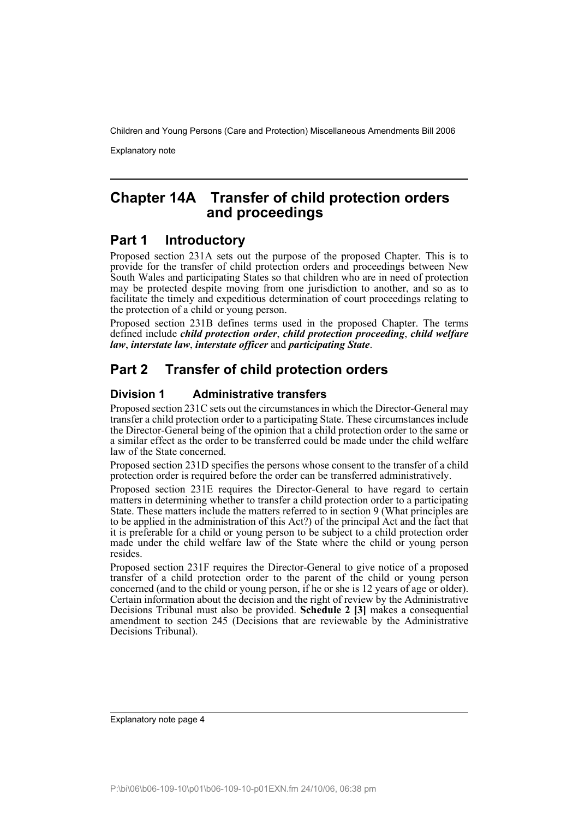Explanatory note

## **Chapter 14A Transfer of child protection orders and proceedings**

## **Part 1 Introductory**

Proposed section 231A sets out the purpose of the proposed Chapter. This is to provide for the transfer of child protection orders and proceedings between New South Wales and participating States so that children who are in need of protection may be protected despite moving from one jurisdiction to another, and so as to facilitate the timely and expeditious determination of court proceedings relating to the protection of a child or young person.

Proposed section 231B defines terms used in the proposed Chapter. The terms defined include *child protection order*, *child protection proceeding*, *child welfare law*, *interstate law*, *interstate officer* and *participating State*.

## **Part 2 Transfer of child protection orders**

## **Division 1 Administrative transfers**

Proposed section 231C sets out the circumstances in which the Director-General may transfer a child protection order to a participating State. These circumstances include the Director-General being of the opinion that a child protection order to the same or a similar effect as the order to be transferred could be made under the child welfare law of the State concerned.

Proposed section 231D specifies the persons whose consent to the transfer of a child protection order is required before the order can be transferred administratively.

Proposed section 231E requires the Director-General to have regard to certain matters in determining whether to transfer a child protection order to a participating State. These matters include the matters referred to in section 9 (What principles are to be applied in the administration of this Act?) of the principal Act and the fact that it is preferable for a child or young person to be subject to a child protection order made under the child welfare law of the State where the child or young person resides.

Proposed section 231F requires the Director-General to give notice of a proposed transfer of a child protection order to the parent of the child or young person concerned (and to the child or young person, if he or she is 12 years of age or older). Certain information about the decision and the right of review by the Administrative Decisions Tribunal must also be provided. **Schedule 2 [3]** makes a consequential amendment to section 245 (Decisions that are reviewable by the Administrative Decisions Tribunal).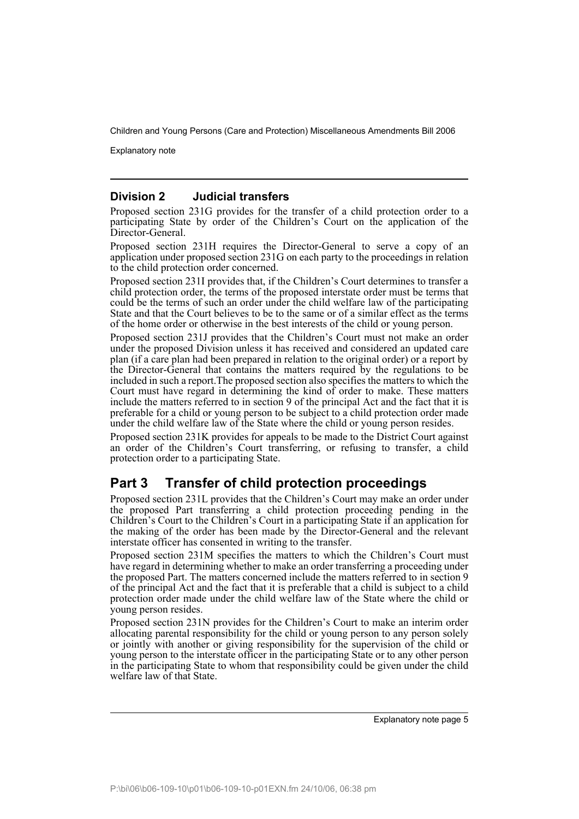Explanatory note

### **Division 2 Judicial transfers**

Proposed section 231G provides for the transfer of a child protection order to a participating State by order of the Children's Court on the application of the Director-General.

Proposed section 231H requires the Director-General to serve a copy of an application under proposed section 231G on each party to the proceedings in relation to the child protection order concerned.

Proposed section 231I provides that, if the Children's Court determines to transfer a child protection order, the terms of the proposed interstate order must be terms that could be the terms of such an order under the child welfare law of the participating State and that the Court believes to be to the same or of a similar effect as the terms of the home order or otherwise in the best interests of the child or young person.

Proposed section 231J provides that the Children's Court must not make an order under the proposed Division unless it has received and considered an updated care plan (if a care plan had been prepared in relation to the original order) or a report by the Director-General that contains the matters required by the regulations to be included in such a report.The proposed section also specifies the matters to which the Court must have regard in determining the kind of order to make. These matters include the matters referred to in section 9 of the principal Act and the fact that it is preferable for a child or young person to be subject to a child protection order made under the child welfare law of the State where the child or young person resides.

Proposed section 231K provides for appeals to be made to the District Court against an order of the Children's Court transferring, or refusing to transfer, a child protection order to a participating State.

## **Part 3 Transfer of child protection proceedings**

Proposed section 231L provides that the Children's Court may make an order under the proposed Part transferring a child protection proceeding pending in the Children's Court to the Children's Court in a participating State if an application for the making of the order has been made by the Director-General and the relevant interstate officer has consented in writing to the transfer.

Proposed section 231M specifies the matters to which the Children's Court must have regard in determining whether to make an order transferring a proceeding under the proposed Part. The matters concerned include the matters referred to in section 9 of the principal Act and the fact that it is preferable that a child is subject to a child protection order made under the child welfare law of the State where the child or young person resides.

Proposed section 231N provides for the Children's Court to make an interim order allocating parental responsibility for the child or young person to any person solely or jointly with another or giving responsibility for the supervision of the child or young person to the interstate officer in the participating State or to any other person in the participating State to whom that responsibility could be given under the child welfare law of that State.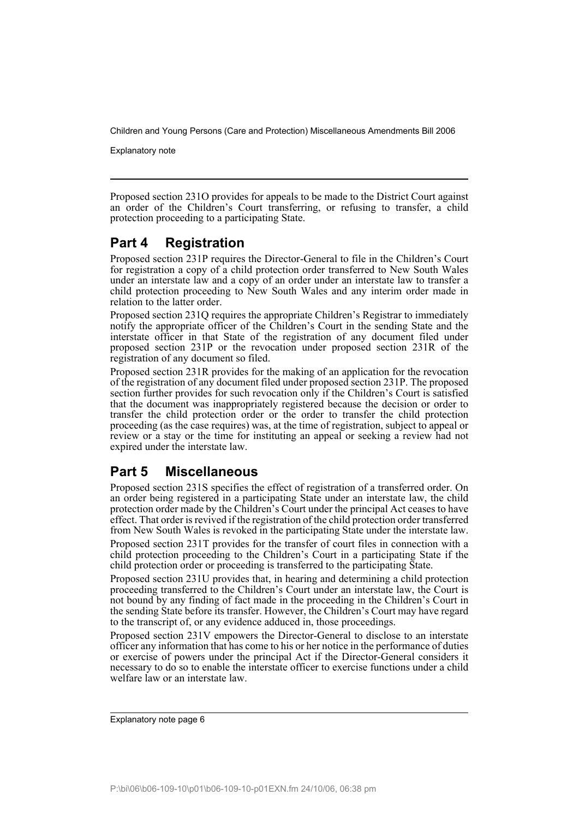Explanatory note

Proposed section 231O provides for appeals to be made to the District Court against an order of the Children's Court transferring, or refusing to transfer, a child protection proceeding to a participating State.

## **Part 4 Registration**

Proposed section 231P requires the Director-General to file in the Children's Court for registration a copy of a child protection order transferred to New South Wales under an interstate law and a copy of an order under an interstate law to transfer a child protection proceeding to New South Wales and any interim order made in relation to the latter order.

Proposed section 231Q requires the appropriate Children's Registrar to immediately notify the appropriate officer of the Children's Court in the sending State and the interstate officer in that State of the registration of any document filed under proposed section 231P or the revocation under proposed section 231R of the registration of any document so filed.

Proposed section 231R provides for the making of an application for the revocation of the registration of any document filed under proposed section 231P. The proposed section further provides for such revocation only if the Children's Court is satisfied that the document was inappropriately registered because the decision or order to transfer the child protection order or the order to transfer the child protection proceeding (as the case requires) was, at the time of registration, subject to appeal or review or a stay or the time for instituting an appeal or seeking a review had not expired under the interstate law.

## **Part 5 Miscellaneous**

Proposed section 231S specifies the effect of registration of a transferred order. On an order being registered in a participating State under an interstate law, the child protection order made by the Children's Court under the principal Act ceases to have effect. That order is revived if the registration of the child protection order transferred from New South Wales is revoked in the participating State under the interstate law.

Proposed section 231T provides for the transfer of court files in connection with a child protection proceeding to the Children's Court in a participating State if the child protection order or proceeding is transferred to the participating State.

Proposed section 231U provides that, in hearing and determining a child protection proceeding transferred to the Children's Court under an interstate law, the Court is not bound by any finding of fact made in the proceeding in the Children's Court in the sending State before its transfer. However, the Children's Court may have regard to the transcript of, or any evidence adduced in, those proceedings.

Proposed section 231V empowers the Director-General to disclose to an interstate officer any information that has come to his or her notice in the performance of duties or exercise of powers under the principal Act if the Director-General considers it necessary to do so to enable the interstate officer to exercise functions under a child welfare law or an interstate law.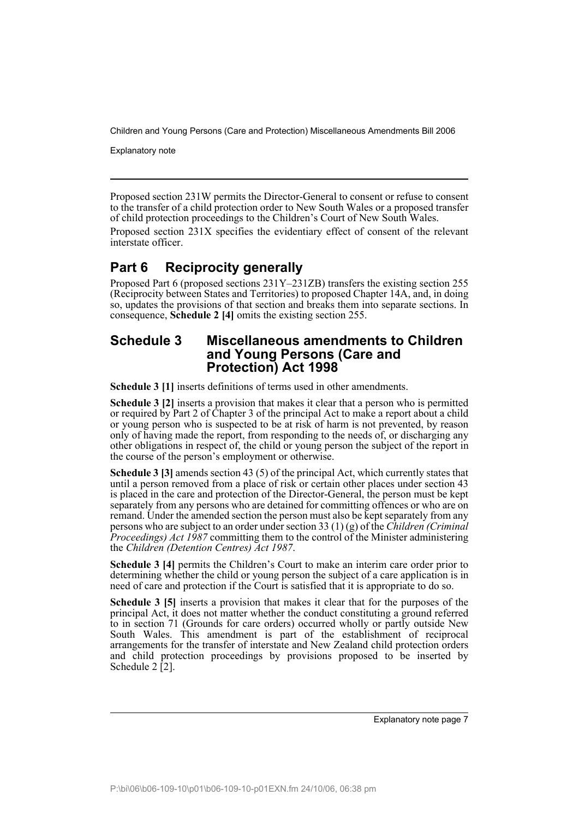Explanatory note

Proposed section 231W permits the Director-General to consent or refuse to consent to the transfer of a child protection order to New South Wales or a proposed transfer of child protection proceedings to the Children's Court of New South Wales.

Proposed section 231X specifies the evidentiary effect of consent of the relevant interstate officer.

## **Part 6 Reciprocity generally**

Proposed Part 6 (proposed sections 231Y–231ZB) transfers the existing section 255 (Reciprocity between States and Territories) to proposed Chapter 14A, and, in doing so, updates the provisions of that section and breaks them into separate sections. In consequence, **Schedule 2 [4]** omits the existing section 255.

## **Schedule 3 Miscellaneous amendments to Children and Young Persons (Care and Protection) Act 1998**

**Schedule 3 [1]** inserts definitions of terms used in other amendments.

**Schedule 3 [2]** inserts a provision that makes it clear that a person who is permitted or required by Part 2 of Chapter 3 of the principal Act to make a report about a child or young person who is suspected to be at risk of harm is not prevented, by reason only of having made the report, from responding to the needs of, or discharging any other obligations in respect of, the child or young person the subject of the report in the course of the person's employment or otherwise.

**Schedule 3 [3]** amends section 43 (5) of the principal Act, which currently states that until a person removed from a place of risk or certain other places under section 43 is placed in the care and protection of the Director-General, the person must be kept separately from any persons who are detained for committing offences or who are on remand. Under the amended section the person must also be kept separately from any persons who are subject to an order under section 33 (1) (g) of the *Children (Criminal Proceedings) Act 1987* committing them to the control of the Minister administering the *Children (Detention Centres) Act 1987*.

**Schedule 3 [4]** permits the Children's Court to make an interim care order prior to determining whether the child or young person the subject of a care application is in need of care and protection if the Court is satisfied that it is appropriate to do so.

**Schedule 3 [5]** inserts a provision that makes it clear that for the purposes of the principal Act, it does not matter whether the conduct constituting a ground referred to in section 71 (Grounds for care orders) occurred wholly or partly outside New South Wales. This amendment is part of the establishment of reciprocal arrangements for the transfer of interstate and New Zealand child protection orders and child protection proceedings by provisions proposed to be inserted by Schedule 2  $\hat{[}2\hat{]}$ .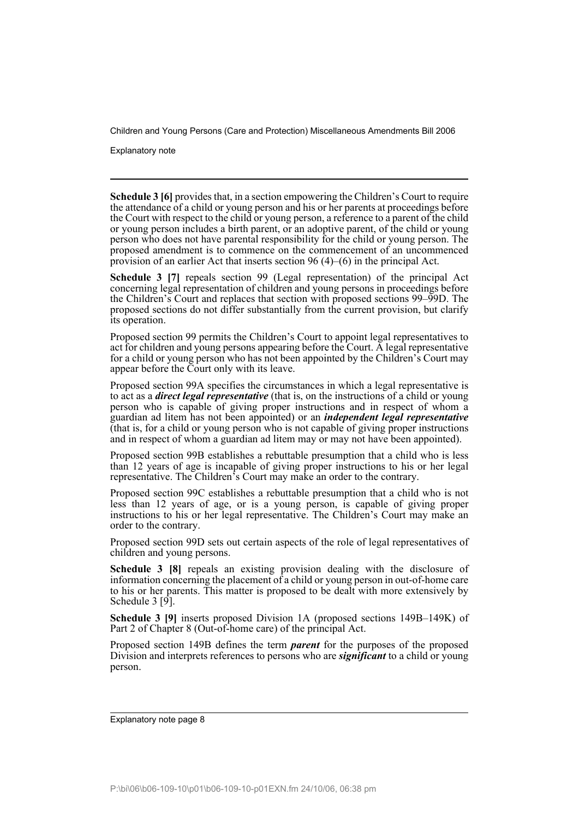Explanatory note

**Schedule 3 [6]** provides that, in a section empowering the Children's Court to require the attendance of a child or young person and his or her parents at proceedings before the Court with respect to the child or young person, a reference to a parent of the child or young person includes a birth parent, or an adoptive parent, of the child or young person who does not have parental responsibility for the child or young person. The proposed amendment is to commence on the commencement of an uncommenced provision of an earlier Act that inserts section 96 (4)–(6) in the principal Act.

**Schedule 3 [7]** repeals section 99 (Legal representation) of the principal Act concerning legal representation of children and young persons in proceedings before the Children's Court and replaces that section with proposed sections 99–99D. The proposed sections do not differ substantially from the current provision, but clarify its operation.

Proposed section 99 permits the Children's Court to appoint legal representatives to act for children and young persons appearing before the Court. A legal representative for a child or young person who has not been appointed by the Children's Court may appear before the Court only with its leave.

Proposed section 99A specifies the circumstances in which a legal representative is to act as a *direct legal representative* (that is, on the instructions of a child or young person who is capable of giving proper instructions and in respect of whom a guardian ad litem has not been appointed) or an *independent legal representative* (that is, for a child or young person who is not capable of giving proper instructions and in respect of whom a guardian ad litem may or may not have been appointed).

Proposed section 99B establishes a rebuttable presumption that a child who is less than 12 years of age is incapable of giving proper instructions to his or her legal representative. The Children's Court may make an order to the contrary.

Proposed section 99C establishes a rebuttable presumption that a child who is not less than 12 years of age, or is a young person, is capable of giving proper instructions to his or her legal representative. The Children's Court may make an order to the contrary.

Proposed section 99D sets out certain aspects of the role of legal representatives of children and young persons.

**Schedule 3 [8]** repeals an existing provision dealing with the disclosure of information concerning the placement of a child or young person in out-of-home care to his or her parents. This matter is proposed to be dealt with more extensively by Schedule 3 [9].

**Schedule 3 [9]** inserts proposed Division 1A (proposed sections 149B–149K) of Part 2 of Chapter 8 (Out-of-home care) of the principal Act.

Proposed section 149B defines the term *parent* for the purposes of the proposed Division and interprets references to persons who are *significant* to a child or young person.

Explanatory note page 8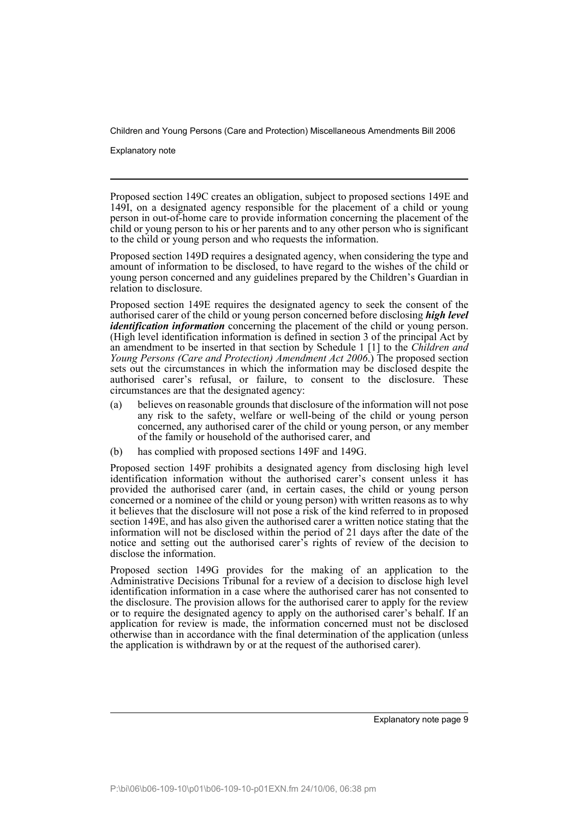Explanatory note

Proposed section 149C creates an obligation, subject to proposed sections 149E and 149I, on a designated agency responsible for the placement of a child or young person in out-of-home care to provide information concerning the placement of the child or young person to his or her parents and to any other person who is significant to the child or young person and who requests the information.

Proposed section 149D requires a designated agency, when considering the type and amount of information to be disclosed, to have regard to the wishes of the child or young person concerned and any guidelines prepared by the Children's Guardian in relation to disclosure.

Proposed section 149E requires the designated agency to seek the consent of the authorised carer of the child or young person concerned before disclosing *high level identification information* concerning the placement of the child or young person. (High level identification information is defined in section 3 of the principal Act by an amendment to be inserted in that section by Schedule 1 [1] to the *Children and Young Persons (Care and Protection) Amendment Act 2006*.) The proposed section sets out the circumstances in which the information may be disclosed despite the authorised carer's refusal, or failure, to consent to the disclosure. These circumstances are that the designated agency:

- (a) believes on reasonable grounds that disclosure of the information will not pose any risk to the safety, welfare or well-being of the child or young person concerned, any authorised carer of the child or young person, or any member of the family or household of the authorised carer, and
- (b) has complied with proposed sections 149F and 149G.

Proposed section 149F prohibits a designated agency from disclosing high level identification information without the authorised carer's consent unless it has provided the authorised carer (and, in certain cases, the child or young person concerned or a nominee of the child or young person) with written reasons as to why it believes that the disclosure will not pose a risk of the kind referred to in proposed section 149E, and has also given the authorised carer a written notice stating that the information will not be disclosed within the period of 21 days after the date of the notice and setting out the authorised carer's rights of review of the decision to disclose the information.

Proposed section 149G provides for the making of an application to the Administrative Decisions Tribunal for a review of a decision to disclose high level identification information in a case where the authorised carer has not consented to the disclosure. The provision allows for the authorised carer to apply for the review or to require the designated agency to apply on the authorised carer's behalf. If an application for review is made, the information concerned must not be disclosed otherwise than in accordance with the final determination of the application (unless the application is withdrawn by or at the request of the authorised carer).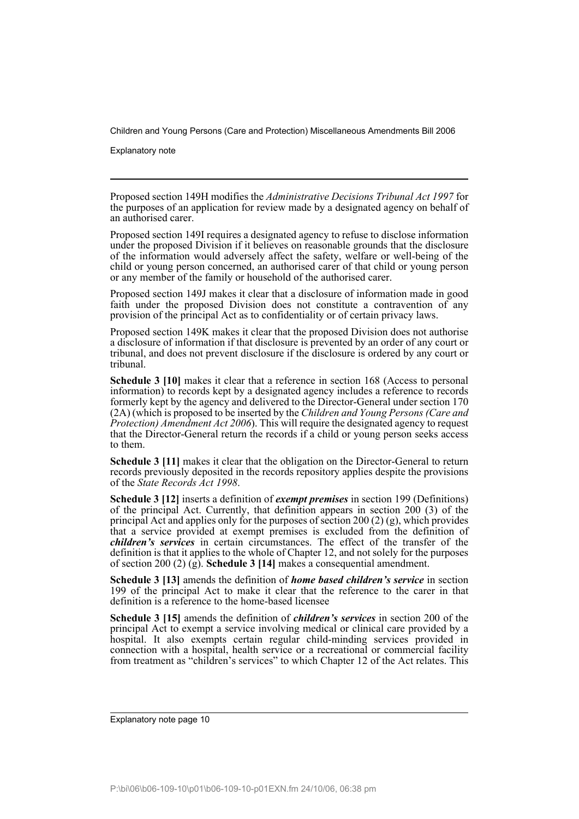Explanatory note

Proposed section 149H modifies the *Administrative Decisions Tribunal Act 1997* for the purposes of an application for review made by a designated agency on behalf of an authorised carer.

Proposed section 149I requires a designated agency to refuse to disclose information under the proposed Division if it believes on reasonable grounds that the disclosure of the information would adversely affect the safety, welfare or well-being of the child or young person concerned, an authorised carer of that child or young person or any member of the family or household of the authorised carer.

Proposed section 149J makes it clear that a disclosure of information made in good faith under the proposed Division does not constitute a contravention of any provision of the principal Act as to confidentiality or of certain privacy laws.

Proposed section 149K makes it clear that the proposed Division does not authorise a disclosure of information if that disclosure is prevented by an order of any court or tribunal, and does not prevent disclosure if the disclosure is ordered by any court or tribunal.

**Schedule 3 [10]** makes it clear that a reference in section 168 (Access to personal information) to records kept by a designated agency includes a reference to records formerly kept by the agency and delivered to the Director-General under section 170 (2A) (which is proposed to be inserted by the *Children and Young Persons (Care and Protection) Amendment Act 2006*). This will require the designated agency to request that the Director-General return the records if a child or young person seeks access to them.

**Schedule 3 [11]** makes it clear that the obligation on the Director-General to return records previously deposited in the records repository applies despite the provisions of the *State Records Act 1998*.

**Schedule 3 [12]** inserts a definition of *exempt premises* in section 199 (Definitions) of the principal Act. Currently, that definition appears in section 200 (3) of the principal Act and applies only for the purposes of section 200 (2) (g), which provides that a service provided at exempt premises is excluded from the definition of *children's services* in certain circumstances. The effect of the transfer of the definition is that it applies to the whole of Chapter 12, and not solely for the purposes of section 200 (2) (g). **Schedule 3 [14]** makes a consequential amendment.

**Schedule 3 [13]** amends the definition of *home based children's service* in section 199 of the principal Act to make it clear that the reference to the carer in that definition is a reference to the home-based licensee

**Schedule 3 [15]** amends the definition of *children's services* in section 200 of the principal Act to exempt a service involving medical or clinical care provided by a hospital. It also exempts certain regular child-minding services provided in connection with a hospital, health service or a recreational or commercial facility from treatment as "children's services" to which Chapter 12 of the Act relates. This

Explanatory note page 10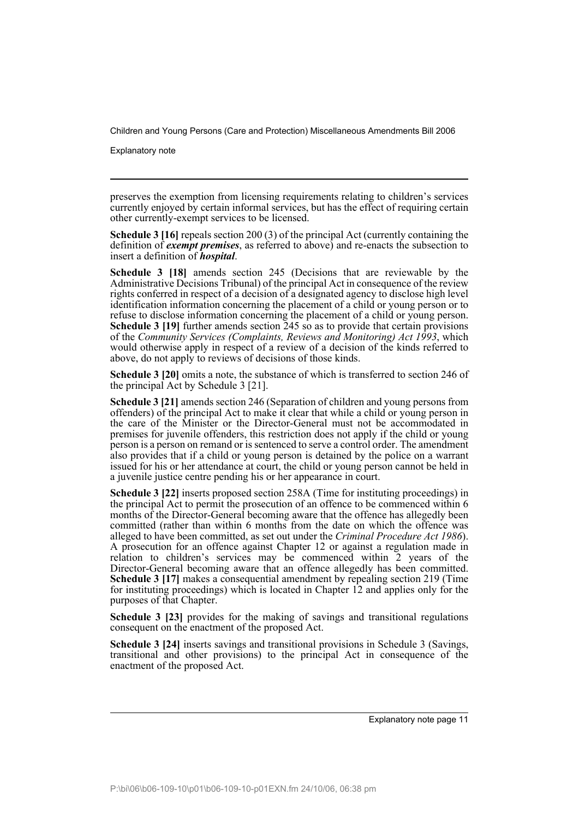Explanatory note

preserves the exemption from licensing requirements relating to children's services currently enjoyed by certain informal services, but has the effect of requiring certain other currently-exempt services to be licensed.

**Schedule 3 [16]** repeals section 200 (3) of the principal Act (currently containing the definition of *exempt premises*, as referred to above) and re-enacts the subsection to insert a definition of *hospital*.

**Schedule 3 [18]** amends section 245 (Decisions that are reviewable by the Administrative Decisions Tribunal) of the principal Act in consequence of the review rights conferred in respect of a decision of a designated agency to disclose high level identification information concerning the placement of a child or young person or to refuse to disclose information concerning the placement of a child or young person. **Schedule 3 [19]** further amends section 245 so as to provide that certain provisions of the *Community Services (Complaints, Reviews and Monitoring) Act 1993*, which would otherwise apply in respect of a review of a decision of the kinds referred to above, do not apply to reviews of decisions of those kinds.

**Schedule 3 [20]** omits a note, the substance of which is transferred to section 246 of the principal Act by Schedule 3 [21].

**Schedule 3 [21]** amends section 246 (Separation of children and young persons from offenders) of the principal Act to make it clear that while a child or young person in the care of the Minister or the Director-General must not be accommodated in premises for juvenile offenders, this restriction does not apply if the child or young person is a person on remand or is sentenced to serve a control order. The amendment also provides that if a child or young person is detained by the police on a warrant issued for his or her attendance at court, the child or young person cannot be held in a juvenile justice centre pending his or her appearance in court.

**Schedule 3 [22]** inserts proposed section 258A (Time for instituting proceedings) in the principal Act to permit the prosecution of an offence to be commenced within 6 months of the Director-General becoming aware that the offence has allegedly been committed (rather than within 6 months from the date on which the offence was alleged to have been committed, as set out under the *Criminal Procedure Act 1986*). A prosecution for an offence against Chapter 12 or against a regulation made in relation to children's services may be commenced within 2 years of the Director-General becoming aware that an offence allegedly has been committed. **Schedule 3 [17]** makes a consequential amendment by repealing section 219 (Time for instituting proceedings) which is located in Chapter 12 and applies only for the purposes of that Chapter.

**Schedule 3 [23]** provides for the making of savings and transitional regulations consequent on the enactment of the proposed Act.

**Schedule 3 [24]** inserts savings and transitional provisions in Schedule 3 (Savings, transitional and other provisions) to the principal Act in consequence of the enactment of the proposed Act.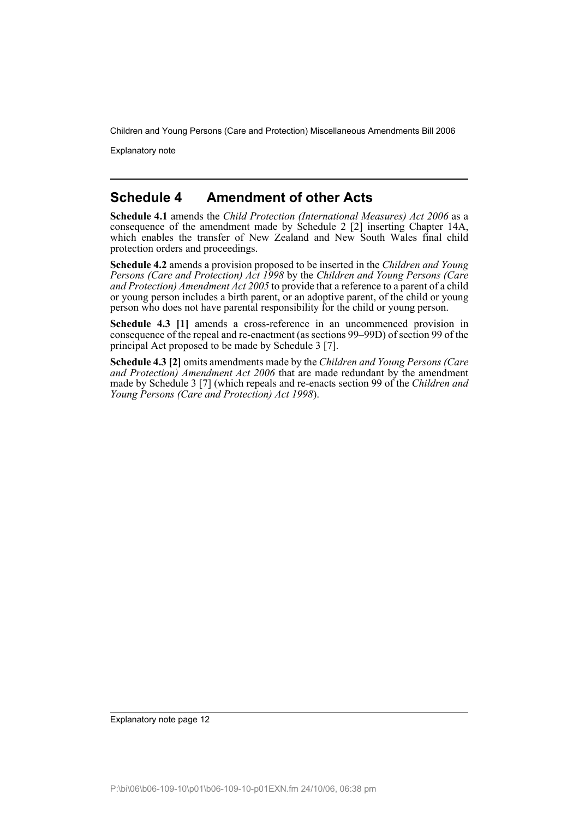Explanatory note

## **Schedule 4 Amendment of other Acts**

**Schedule 4.1** amends the *Child Protection (International Measures) Act 2006* as a consequence of the amendment made by Schedule 2 [2] inserting Chapter 14A, which enables the transfer of New Zealand and New South Wales final child protection orders and proceedings.

**Schedule 4.2** amends a provision proposed to be inserted in the *Children and Young Persons (Care and Protection) Act 1998* by the *Children and Young Persons (Care and Protection) Amendment Act 2005* to provide that a reference to a parent of a child or young person includes a birth parent, or an adoptive parent, of the child or young person who does not have parental responsibility for the child or young person.

**Schedule 4.3 [1]** amends a cross-reference in an uncommenced provision in consequence of the repeal and re-enactment (as sections 99–99D) of section 99 of the principal Act proposed to be made by Schedule 3 [7].

**Schedule 4.3 [2]** omits amendments made by the *Children and Young Persons (Care and Protection) Amendment Act 2006* that are made redundant by the amendment made by Schedule 3 [7] (which repeals and re-enacts section 99 of the *Children and Young Persons (Care and Protection) Act 1998*).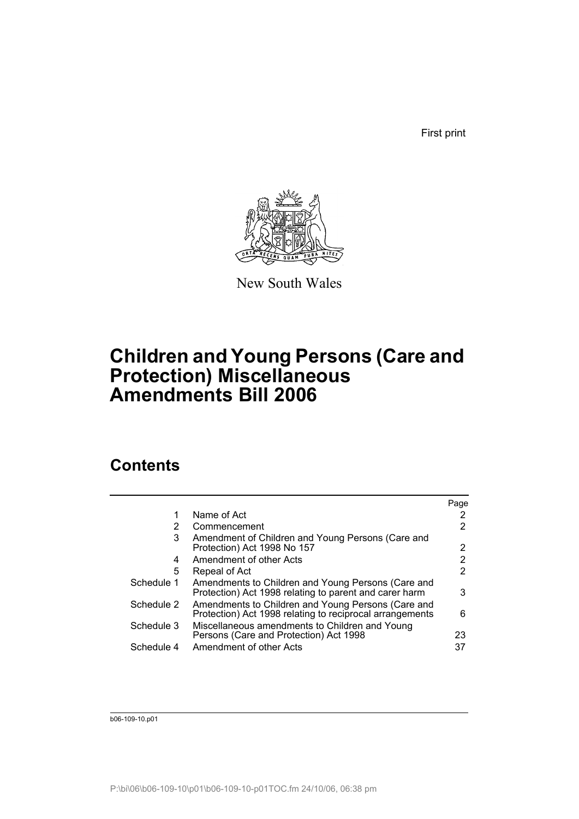First print



New South Wales

## **Children and Young Persons (Care and Protection) Miscellaneous Amendments Bill 2006**

## **Contents**

|            |                                                                                                                | Page |
|------------|----------------------------------------------------------------------------------------------------------------|------|
| 1          | Name of Act                                                                                                    |      |
| 2          | Commencement                                                                                                   |      |
| 3          | Amendment of Children and Young Persons (Care and<br>Protection) Act 1998 No 157                               | 2    |
| 4          | Amendment of other Acts                                                                                        |      |
| 5          | Repeal of Act                                                                                                  | 2    |
| Schedule 1 | Amendments to Children and Young Persons (Care and<br>Protection) Act 1998 relating to parent and carer harm   | 3    |
| Schedule 2 | Amendments to Children and Young Persons (Care and<br>Protection) Act 1998 relating to reciprocal arrangements | 6    |
| Schedule 3 | Miscellaneous amendments to Children and Young<br>Persons (Care and Protection) Act 1998                       | 23   |
| Schedule 4 | Amendment of other Acts                                                                                        | 37   |

b06-109-10.p01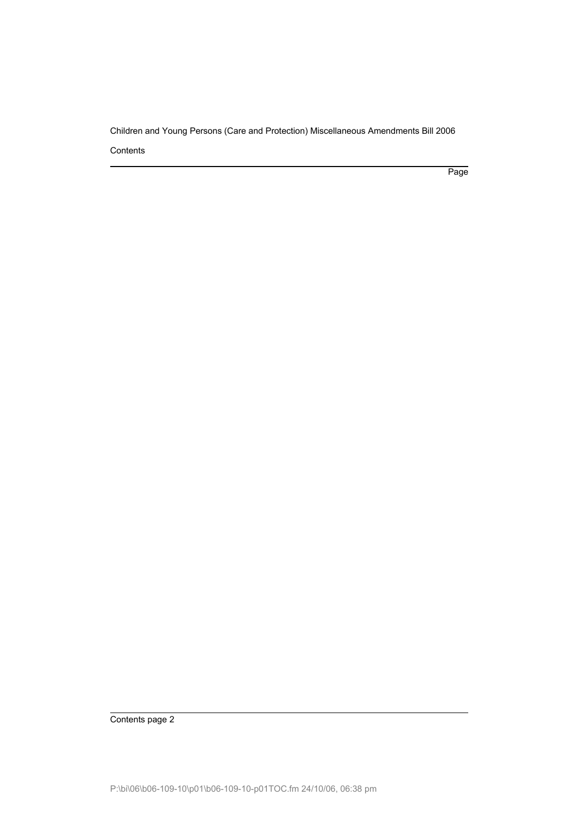Page

Contents page 2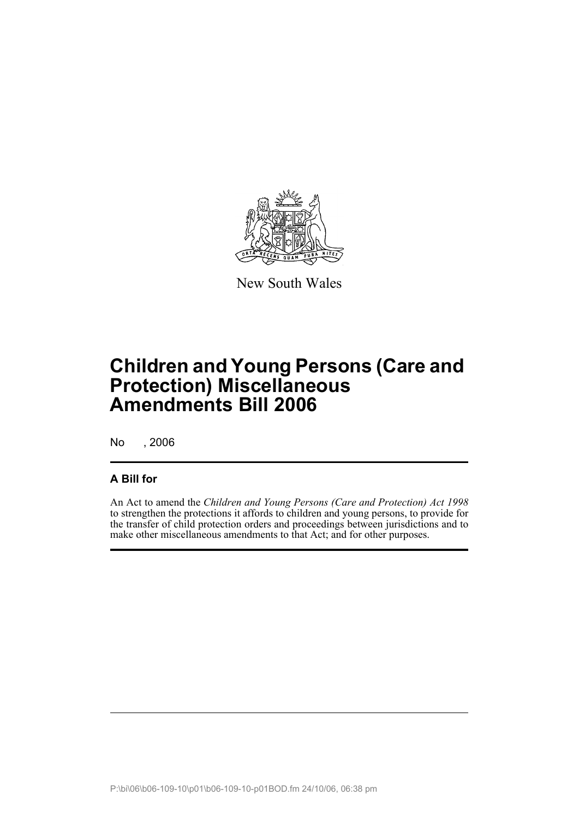

New South Wales

# **Children and Young Persons (Care and Protection) Miscellaneous Amendments Bill 2006**

No , 2006

## **A Bill for**

An Act to amend the *Children and Young Persons (Care and Protection) Act 1998* to strengthen the protections it affords to children and young persons, to provide for the transfer of child protection orders and proceedings between jurisdictions and to make other miscellaneous amendments to that Act; and for other purposes.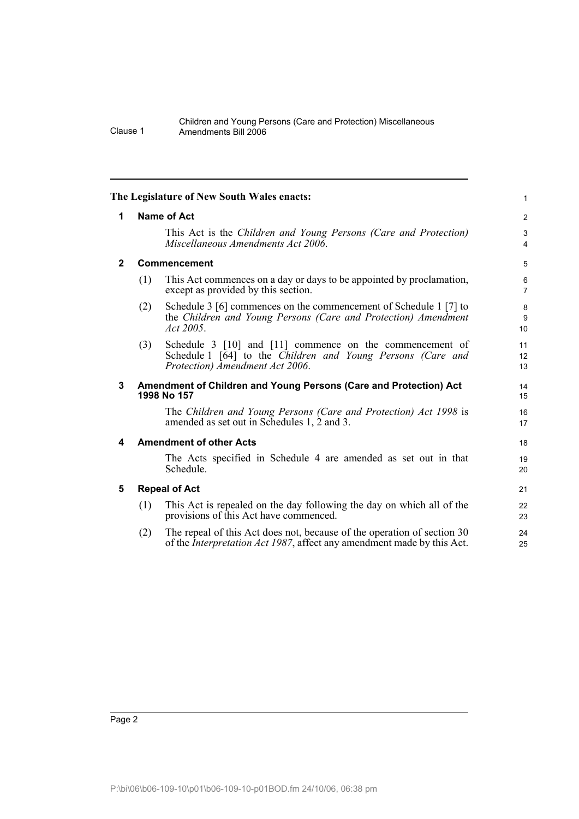|          | Children and Young Persons (Care and Protection) Miscellaneous |
|----------|----------------------------------------------------------------|
| Clause 1 | Amendments Bill 2006                                           |

<span id="page-15-4"></span><span id="page-15-3"></span><span id="page-15-2"></span><span id="page-15-1"></span><span id="page-15-0"></span>

|              |     | The Legislature of New South Wales enacts:                                                                                                                 | $\mathbf{1}$        |
|--------------|-----|------------------------------------------------------------------------------------------------------------------------------------------------------------|---------------------|
| 1            |     | <b>Name of Act</b>                                                                                                                                         | 2                   |
|              |     | This Act is the Children and Young Persons (Care and Protection)<br>Miscellaneous Amendments Act 2006.                                                     | 3<br>$\overline{4}$ |
| $\mathbf{2}$ |     | Commencement                                                                                                                                               | 5                   |
|              | (1) | This Act commences on a day or days to be appointed by proclamation,<br>except as provided by this section.                                                | 6<br>$\overline{7}$ |
|              | (2) | Schedule 3 [6] commences on the commencement of Schedule 1 [7] to<br>the Children and Young Persons (Care and Protection) Amendment<br>Act 2005.           | 8<br>9<br>10        |
|              | (3) | Schedule 3 [10] and [11] commence on the commencement of<br>Schedule 1 [64] to the Children and Young Persons (Care and<br>Protection) Amendment Act 2006. | 11<br>12<br>13      |
| 3            |     | Amendment of Children and Young Persons (Care and Protection) Act<br>1998 No 157                                                                           | 14<br>15            |
|              |     | The Children and Young Persons (Care and Protection) Act 1998 is<br>amended as set out in Schedules 1, 2 and 3.                                            | 16<br>17            |
| 4            |     | <b>Amendment of other Acts</b>                                                                                                                             | 18                  |
|              |     | The Acts specified in Schedule 4 are amended as set out in that<br>Schedule.                                                                               | 19<br>20            |
| 5            |     | <b>Repeal of Act</b>                                                                                                                                       | 21                  |
|              | (1) | This Act is repealed on the day following the day on which all of the<br>provisions of this Act have commenced.                                            | 22<br>23            |
|              | (2) | The repeal of this Act does not, because of the operation of section 30<br>of the <i>Interpretation Act 1987</i> , affect any amendment made by this Act.  | 24<br>25            |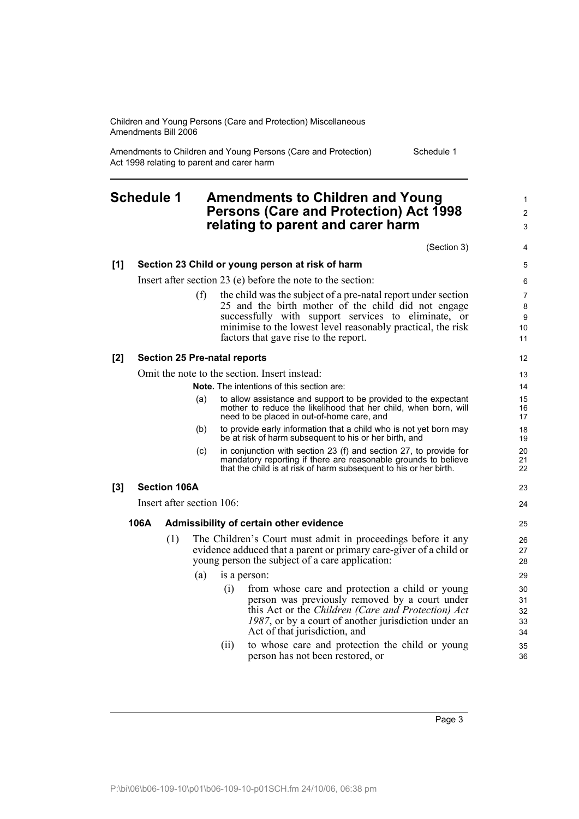Amendments to Children and Young Persons (Care and Protection) Act 1998 relating to parent and carer harm

## <span id="page-16-0"></span>**Schedule 1 Amendments to Children and Young Persons (Care and Protection) Act 1998 relating to parent and carer harm**

(Section 3) **[1] Section 23 Child or young person at risk of harm** Insert after section 23 (e) before the note to the section: (f) the child was the subject of a pre-natal report under section 25 and the birth mother of the child did not engage successfully with support services to eliminate, or minimise to the lowest level reasonably practical, the risk factors that gave rise to the report. **[2] Section 25 Pre-natal reports** Omit the note to the section. Insert instead: **Note.** The intentions of this section are: (a) to allow assistance and support to be provided to the expectant mother to reduce the likelihood that her child, when born, will need to be placed in out-of-home care, and (b) to provide early information that a child who is not yet born may be at risk of harm subsequent to his or her birth, and (c) in conjunction with section 23 (f) and section 27, to provide for mandatory reporting if there are reasonable grounds to believe that the child is at risk of harm subsequent to his or her birth. **[3] Section 106A** Insert after section 106: **106A Admissibility of certain other evidence** (1) The Children's Court must admit in proceedings before it any evidence adduced that a parent or primary care-giver of a child or young person the subject of a care application: (a) is a person: (i) from whose care and protection a child or young person was previously removed by a court under this Act or the *Children (Care and Protection) Act 1987*, or by a court of another jurisdiction under an Act of that jurisdiction, and (ii) to whose care and protection the child or young person has not been restored, or 10 11 12 13 14 15 16 17 18 19 20 21  $22$ 23 24 25 26 27 28 29 30 31 32 33 34 35 36

Page 3

Schedule 1

1  $\mathfrak{p}$ 3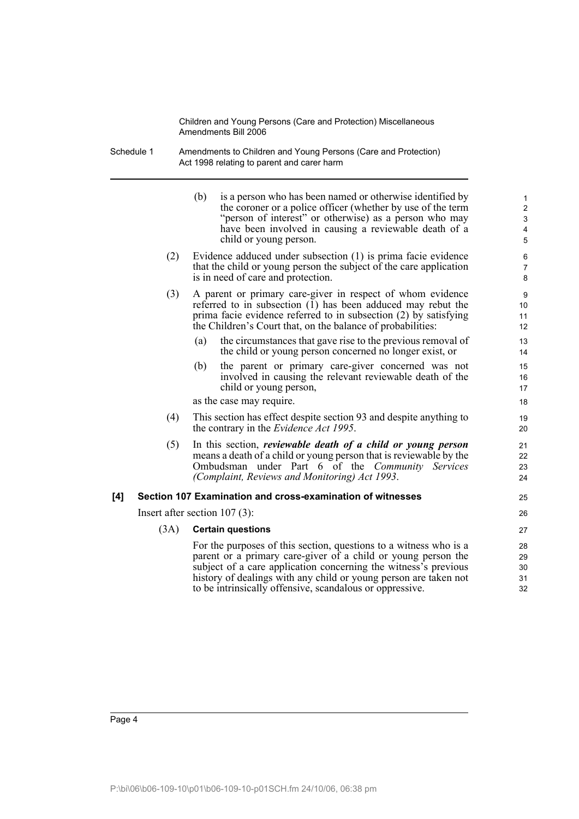Schedule 1 Amendments to Children and Young Persons (Care and Protection) Act 1998 relating to parent and carer harm

|     |      | (b)<br>is a person who has been named or otherwise identified by<br>the coroner or a police officer (whether by use of the term<br>"person of interest" or otherwise) as a person who may<br>have been involved in causing a reviewable death of a<br>child or young person.                                                          | $\mathbf{1}$<br>$\boldsymbol{2}$<br>3<br>4<br>5 |
|-----|------|---------------------------------------------------------------------------------------------------------------------------------------------------------------------------------------------------------------------------------------------------------------------------------------------------------------------------------------|-------------------------------------------------|
|     | (2)  | Evidence adduced under subsection (1) is prima facie evidence<br>that the child or young person the subject of the care application<br>is in need of care and protection.                                                                                                                                                             | 6<br>$\overline{7}$<br>8                        |
|     | (3)  | A parent or primary care-giver in respect of whom evidence<br>referred to in subsection (1) has been adduced may rebut the<br>prima facie evidence referred to in subsection (2) by satisfying<br>the Children's Court that, on the balance of probabilities:                                                                         | 9<br>10<br>11<br>12                             |
|     |      | the circumstances that gave rise to the previous removal of<br>(a)<br>the child or young person concerned no longer exist, or                                                                                                                                                                                                         | 13<br>14                                        |
|     |      | the parent or primary care-giver concerned was not<br>(b)<br>involved in causing the relevant reviewable death of the<br>child or young person,                                                                                                                                                                                       | 15<br>16<br>17                                  |
|     |      | as the case may require.                                                                                                                                                                                                                                                                                                              | 18                                              |
|     | (4)  | This section has effect despite section 93 and despite anything to<br>the contrary in the <i>Evidence Act 1995</i> .                                                                                                                                                                                                                  | 19<br>20                                        |
|     | (5)  | In this section, <i>reviewable death of a child or young person</i><br>means a death of a child or young person that is reviewable by the<br>Ombudsman under Part 6 of the Community Services<br>(Complaint, Reviews and Monitoring) Act 1993.                                                                                        | 21<br>22<br>23<br>24                            |
| [4] |      | Section 107 Examination and cross-examination of witnesses                                                                                                                                                                                                                                                                            | 25                                              |
|     |      | Insert after section $107(3)$ :                                                                                                                                                                                                                                                                                                       | 26                                              |
|     | (3A) | <b>Certain questions</b>                                                                                                                                                                                                                                                                                                              | 27                                              |
|     |      | For the purposes of this section, questions to a witness who is a<br>parent or a primary care-giver of a child or young person the<br>subject of a care application concerning the witness's previous<br>history of dealings with any child or young person are taken not<br>to be intrinsically offensive, scandalous or oppressive. | 28<br>29<br>30<br>31<br>32                      |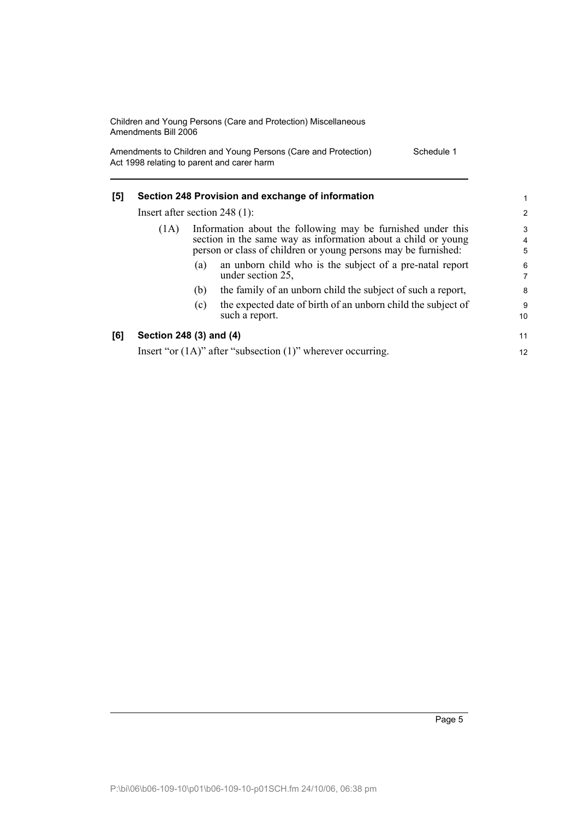Amendments to Children and Young Persons (Care and Protection) Act 1998 relating to parent and carer harm Schedule 1

| [5] |                                 |     | Section 248 Provision and exchange of information                                                                                                                                              | 1                        |
|-----|---------------------------------|-----|------------------------------------------------------------------------------------------------------------------------------------------------------------------------------------------------|--------------------------|
|     | Insert after section $248(1)$ : |     |                                                                                                                                                                                                | $\overline{2}$           |
|     | (1A)                            |     | Information about the following may be furnished under this<br>section in the same way as information about a child or young<br>person or class of children or young persons may be furnished: | 3<br>$\overline{4}$<br>5 |
|     |                                 | (a) | an unborn child who is the subject of a pre-natal report<br>under section 25,                                                                                                                  | 6<br>7                   |
|     |                                 | (b) | the family of an unborn child the subject of such a report,                                                                                                                                    | 8                        |
|     |                                 | (c) | the expected date of birth of an unborn child the subject of<br>such a report.                                                                                                                 | 9<br>10                  |
| [6] | Section 248 (3) and (4)         |     |                                                                                                                                                                                                | 11                       |
|     |                                 |     | Insert "or $(1A)$ " after "subsection $(1)$ " wherever occurring.                                                                                                                              | 12                       |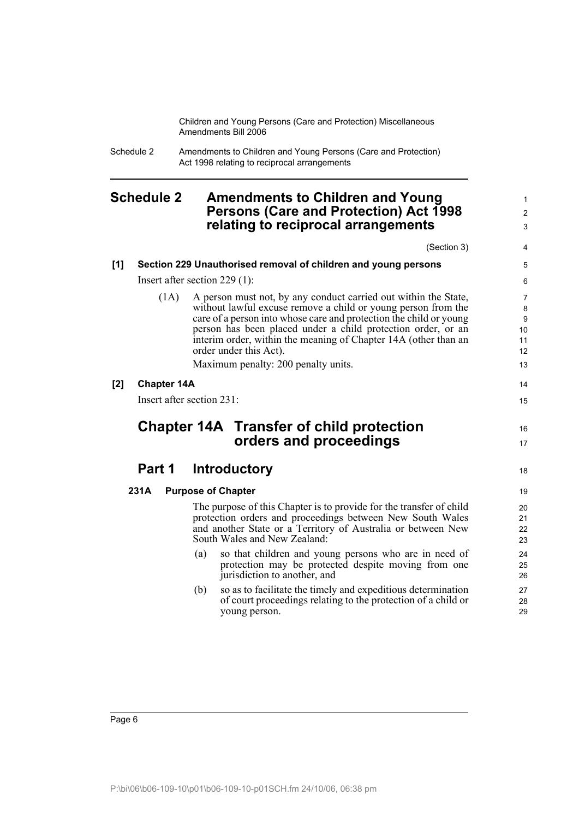> 1 2 3

Schedule 2 Amendments to Children and Young Persons (Care and Protection) Act 1998 relating to reciprocal arrangements

## <span id="page-19-0"></span>**Schedule 2 Amendments to Children and Young Persons (Care and Protection) Act 1998 relating to reciprocal arrangements**

|     |                    | (Section 3)                                                                                                                                                                                                                                                                                                                                                                                                | 4                                                               |
|-----|--------------------|------------------------------------------------------------------------------------------------------------------------------------------------------------------------------------------------------------------------------------------------------------------------------------------------------------------------------------------------------------------------------------------------------------|-----------------------------------------------------------------|
| [1] |                    | Section 229 Unauthorised removal of children and young persons                                                                                                                                                                                                                                                                                                                                             | 5                                                               |
|     |                    | Insert after section $229(1)$ :                                                                                                                                                                                                                                                                                                                                                                            | 6                                                               |
|     | (1A)               | A person must not, by any conduct carried out within the State,<br>without lawful excuse remove a child or young person from the<br>care of a person into whose care and protection the child or young<br>person has been placed under a child protection order, or an<br>interim order, within the meaning of Chapter 14A (other than an<br>order under this Act).<br>Maximum penalty: 200 penalty units. | $\overline{7}$<br>8<br>$\boldsymbol{9}$<br>10<br>11<br>12<br>13 |
| [2] | <b>Chapter 14A</b> |                                                                                                                                                                                                                                                                                                                                                                                                            | 14                                                              |
|     |                    | Insert after section 231:                                                                                                                                                                                                                                                                                                                                                                                  | 15                                                              |
|     | Part 1             | <b>Chapter 14A Transfer of child protection</b><br>orders and proceedings                                                                                                                                                                                                                                                                                                                                  | 16<br>17                                                        |
|     |                    | <b>Introductory</b>                                                                                                                                                                                                                                                                                                                                                                                        | 18                                                              |
|     | 231A               | <b>Purpose of Chapter</b>                                                                                                                                                                                                                                                                                                                                                                                  | 19                                                              |
|     |                    | The purpose of this Chapter is to provide for the transfer of child<br>protection orders and proceedings between New South Wales<br>and another State or a Territory of Australia or between New<br>South Wales and New Zealand:                                                                                                                                                                           | 20<br>21<br>22<br>23                                            |
|     |                    |                                                                                                                                                                                                                                                                                                                                                                                                            |                                                                 |
|     |                    | so that children and young persons who are in need of<br>(a)<br>protection may be protected despite moving from one<br>jurisdiction to another, and                                                                                                                                                                                                                                                        | 24<br>25<br>26                                                  |
|     |                    | so as to facilitate the timely and expeditious determination<br>(b)<br>of court proceedings relating to the protection of a child or<br>young person.                                                                                                                                                                                                                                                      | 27<br>28<br>29                                                  |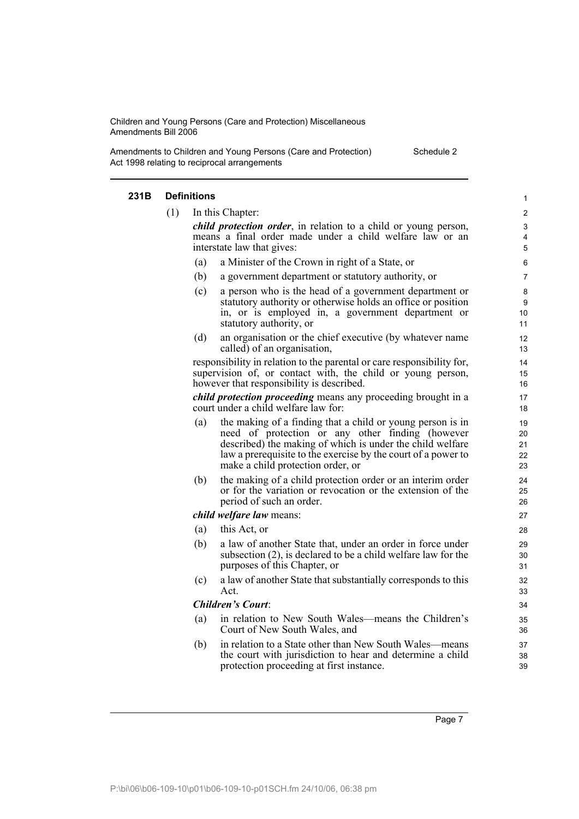Amendments to Children and Young Persons (Care and Protection) Act 1998 relating to reciprocal arrangements

Schedule 2

#### **231B Definitions** (1) In this Chapter: *child protection order*, in relation to a child or young person, means a final order made under a child welfare law or an interstate law that gives: (a) a Minister of the Crown in right of a State, or (b) a government department or statutory authority, or (c) a person who is the head of a government department or statutory authority or otherwise holds an office or position in, or is employed in, a government department or statutory authority, or (d) an organisation or the chief executive (by whatever name called) of an organisation, responsibility in relation to the parental or care responsibility for, supervision of, or contact with, the child or young person, however that responsibility is described. *child protection proceeding* means any proceeding brought in a court under a child welfare law for: (a) the making of a finding that a child or young person is in need of protection or any other finding (however described) the making of which is under the child welfare law a prerequisite to the exercise by the court of a power to make a child protection order, or (b) the making of a child protection order or an interim order or for the variation or revocation or the extension of the period of such an order. *child welfare law* means: (a) this Act, or (b) a law of another State that, under an order in force under subsection (2), is declared to be a child welfare law for the purposes of this Chapter, or (c) a law of another State that substantially corresponds to this Act. *Children's Court*: (a) in relation to New South Wales—means the Children's Court of New South Wales, and (b) in relation to a State other than New South Wales—means the court with jurisdiction to hear and determine a child protection proceeding at first instance. 1  $\mathfrak{p}$ 3 4 5 6 7 8 9 10 11 12 13 14 15 16 17 18 19 20 21 22 23 24 25 26 27 28 29 30 31 32 33 34 35 36 37 38 39

Page 7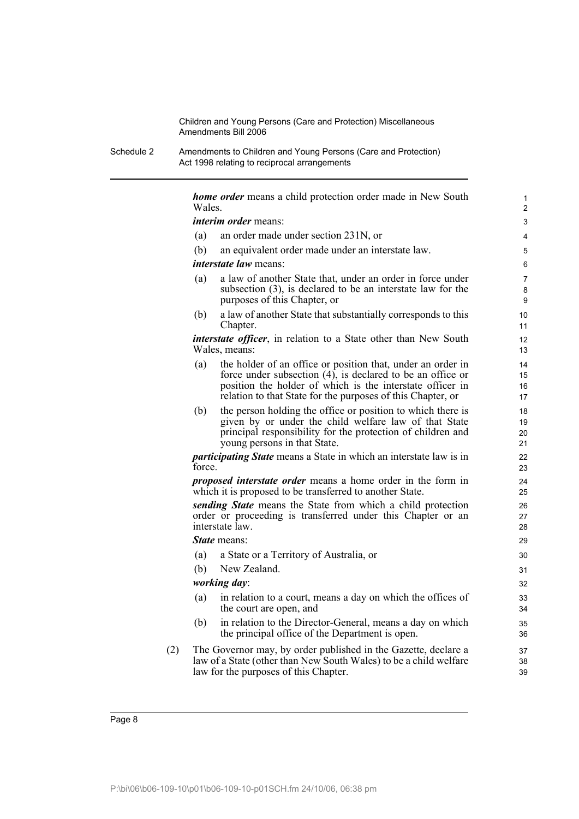Schedule 2 Amendments to Children and Young Persons (Care and Protection) Act 1998 relating to reciprocal arrangements

> *home order* means a child protection order made in New South Wales. *interim order* means: (a) an order made under section 231N, or (b) an equivalent order made under an interstate law. *interstate law* means: (a) a law of another State that, under an order in force under subsection (3), is declared to be an interstate law for the purposes of this Chapter, or (b) a law of another State that substantially corresponds to this Chapter. *interstate officer*, in relation to a State other than New South Wales, means: (a) the holder of an office or position that, under an order in force under subsection (4), is declared to be an office or position the holder of which is the interstate officer in relation to that State for the purposes of this Chapter, or (b) the person holding the office or position to which there is given by or under the child welfare law of that State principal responsibility for the protection of children and young persons in that State. *participating State* means a State in which an interstate law is in force. *proposed interstate order* means a home order in the form in which it is proposed to be transferred to another State. *sending State* means the State from which a child protection order or proceeding is transferred under this Chapter or an interstate law. *State* means: (a) a State or a Territory of Australia, or (b) New Zealand. *working day*: (a) in relation to a court, means a day on which the offices of the court are open, and (b) in relation to the Director-General, means a day on which the principal office of the Department is open. (2) The Governor may, by order published in the Gazette, declare a law of a State (other than New South Wales) to be a child welfare law for the purposes of this Chapter. 1 2 3 4 5 6 7 8 9 10 11 12 13 14 15 16 17 18 19 20 21  $22$ 23 24 25 26 27 28 29 30 31 32 33 34 35 36 37 38 39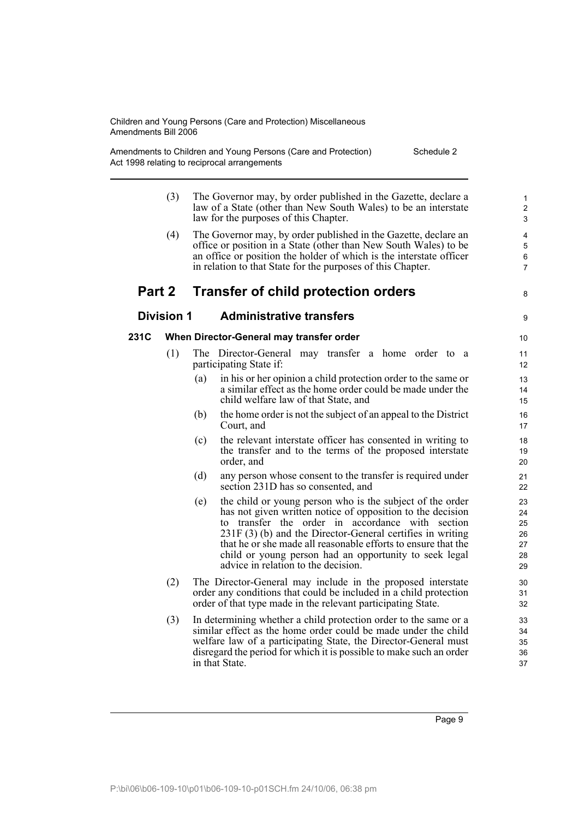Amendments to Children and Young Persons (Care and Protection) Act 1998 relating to reciprocal arrangements Schedule 2

|     | Part 2 Transfer of child protection orders                                                                                                                                                                                                                                |
|-----|---------------------------------------------------------------------------------------------------------------------------------------------------------------------------------------------------------------------------------------------------------------------------|
| (4) | The Governor may, by order published in the Gazette, declare an<br>office or position in a State (other than New South Wales) to be<br>an office or position the holder of which is the interstate officer<br>in relation to that State for the purposes of this Chapter. |
| (3) | The Governor may, by order published in the Gazette, declare a<br>law of a State (other than New South Wales) to be an interstate<br>law for the purposes of this Chapter.                                                                                                |

#### **Division 1 Administrative transfers**

#### **231C When Director-General may transfer order**

- (1) The Director-General may transfer a home order to a participating State if:
	- (a) in his or her opinion a child protection order to the same or a similar effect as the home order could be made under the child welfare law of that State, and
	- (b) the home order is not the subject of an appeal to the District Court, and
	- (c) the relevant interstate officer has consented in writing to the transfer and to the terms of the proposed interstate order, and
	- (d) any person whose consent to the transfer is required under section 231D has so consented, and
	- (e) the child or young person who is the subject of the order has not given written notice of opposition to the decision to transfer the order in accordance with section 231F (3) (b) and the Director-General certifies in writing that he or she made all reasonable efforts to ensure that the child or young person had an opportunity to seek legal advice in relation to the decision.
- (2) The Director-General may include in the proposed interstate order any conditions that could be included in a child protection order of that type made in the relevant participating State.
- (3) In determining whether a child protection order to the same or a similar effect as the home order could be made under the child welfare law of a participating State, the Director-General must disregard the period for which it is possible to make such an order in that State.

Page 9

8

9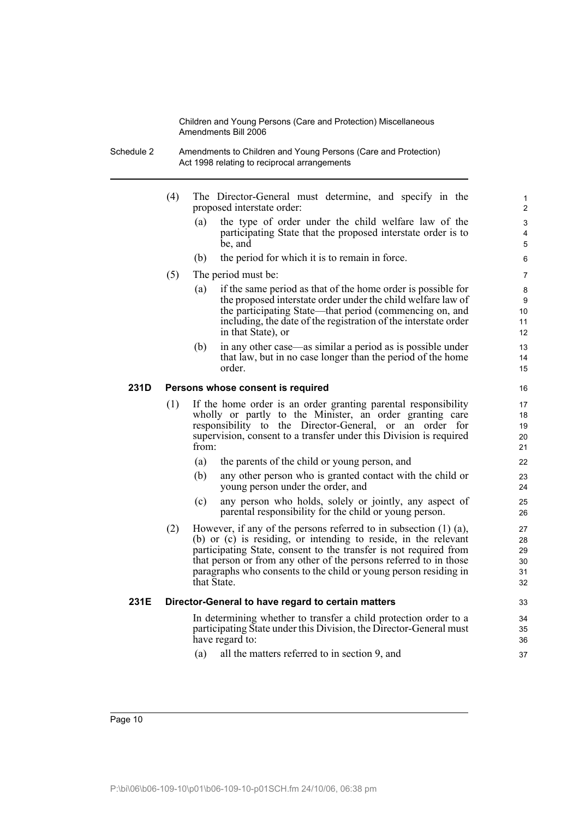- Schedule 2 Amendments to Children and Young Persons (Care and Protection) Act 1998 relating to reciprocal arrangements
	- (4) The Director-General must determine, and specify in the proposed interstate order:
		- (a) the type of order under the child welfare law of the participating State that the proposed interstate order is to be, and

- (b) the period for which it is to remain in force.
- (5) The period must be:
	- (a) if the same period as that of the home order is possible for the proposed interstate order under the child welfare law of the participating State—that period (commencing on, and including, the date of the registration of the interstate order in that State), or
	- (b) in any other case—as similar a period as is possible under that law, but in no case longer than the period of the home order.

#### **231D Persons whose consent is required**

- (1) If the home order is an order granting parental responsibility wholly or partly to the Minister, an order granting care responsibility to the Director-General, or an order for supervision, consent to a transfer under this Division is required from:
	- (a) the parents of the child or young person, and
	- (b) any other person who is granted contact with the child or young person under the order, and
	- (c) any person who holds, solely or jointly, any aspect of parental responsibility for the child or young person.
- (2) However, if any of the persons referred to in subsection (1) (a), (b) or (c) is residing, or intending to reside, in the relevant participating State, consent to the transfer is not required from that person or from any other of the persons referred to in those paragraphs who consents to the child or young person residing in that State.

#### **231E Director-General to have regard to certain matters**

In determining whether to transfer a child protection order to a participating State under this Division, the Director-General must have regard to:

(a) all the matters referred to in section 9, and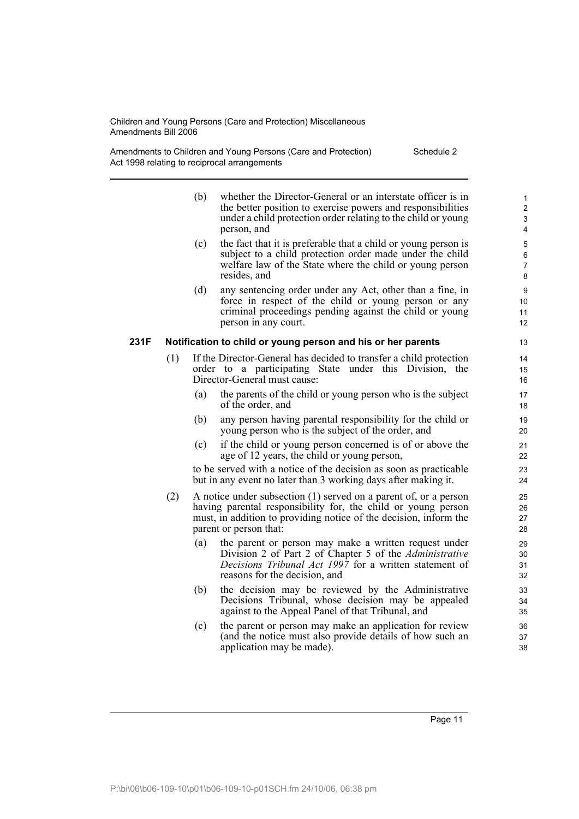Amendments to Children and Young Persons (Care and Protection) Act 1998 relating to reciprocal arrangements Schedule 2

| (b) | whether the Director-General or an interstate officer is in   |
|-----|---------------------------------------------------------------|
|     | the better position to exercise powers and responsibilities   |
|     | under a child protection order relating to the child or young |
|     | person, and                                                   |

- (c) the fact that it is preferable that a child or young person is subject to a child protection order made under the child welfare law of the State where the child or young person resides, and
- (d) any sentencing order under any Act, other than a fine, in force in respect of the child or young person or any criminal proceedings pending against the child or young person in any court.

#### **231F Notification to child or young person and his or her parents**

- (1) If the Director-General has decided to transfer a child protection order to a participating State under this Division, the Director-General must cause:
	- (a) the parents of the child or young person who is the subject of the order, and
	- (b) any person having parental responsibility for the child or young person who is the subject of the order, and
	- (c) if the child or young person concerned is of or above the age of 12 years, the child or young person,

to be served with a notice of the decision as soon as practicable but in any event no later than 3 working days after making it.

- (2) A notice under subsection (1) served on a parent of, or a person having parental responsibility for, the child or young person must, in addition to providing notice of the decision, inform the parent or person that:
	- (a) the parent or person may make a written request under Division 2 of Part 2 of Chapter 5 of the *Administrative Decisions Tribunal Act 1997* for a written statement of reasons for the decision, and
	- (b) the decision may be reviewed by the Administrative Decisions Tribunal, whose decision may be appealed against to the Appeal Panel of that Tribunal, and
	- (c) the parent or person may make an application for review (and the notice must also provide details of how such an application may be made).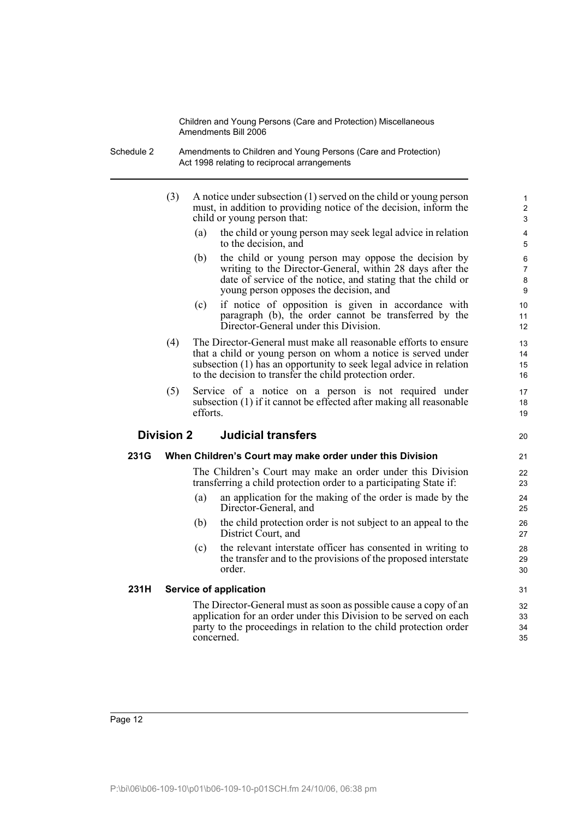- Schedule 2 Amendments to Children and Young Persons (Care and Protection) Act 1998 relating to reciprocal arrangements
	- (3) A notice under subsection (1) served on the child or young person must, in addition to providing notice of the decision, inform the child or young person that:
		- (a) the child or young person may seek legal advice in relation to the decision, and

20

- (b) the child or young person may oppose the decision by writing to the Director-General, within 28 days after the date of service of the notice, and stating that the child or young person opposes the decision, and
- (c) if notice of opposition is given in accordance with paragraph (b), the order cannot be transferred by the Director-General under this Division.
- (4) The Director-General must make all reasonable efforts to ensure that a child or young person on whom a notice is served under subsection (1) has an opportunity to seek legal advice in relation to the decision to transfer the child protection order.
- (5) Service of a notice on a person is not required under subsection (1) if it cannot be effected after making all reasonable efforts.

#### **Division 2 Judicial transfers**

#### **231G When Children's Court may make order under this Division**

The Children's Court may make an order under this Division transferring a child protection order to a participating State if:

- (a) an application for the making of the order is made by the Director-General, and
- (b) the child protection order is not subject to an appeal to the District Court, and
- (c) the relevant interstate officer has consented in writing to the transfer and to the provisions of the proposed interstate order.

#### **231H Service of application**

The Director-General must as soon as possible cause a copy of an application for an order under this Division to be served on each party to the proceedings in relation to the child protection order concerned.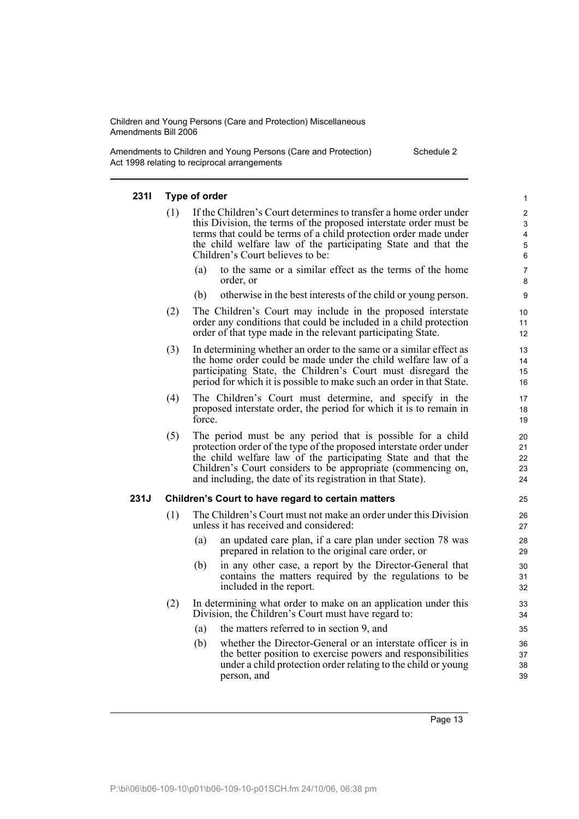Amendments to Children and Young Persons (Care and Protection) Act 1998 relating to reciprocal arrangements Schedule 2

#### **231I Type of order**

- (1) If the Children's Court determines to transfer a home order under this Division, the terms of the proposed interstate order must be terms that could be terms of a child protection order made under the child welfare law of the participating State and that the Children's Court believes to be:
	- (a) to the same or a similar effect as the terms of the home order, or
	- (b) otherwise in the best interests of the child or young person.
- (2) The Children's Court may include in the proposed interstate order any conditions that could be included in a child protection order of that type made in the relevant participating State.
- (3) In determining whether an order to the same or a similar effect as the home order could be made under the child welfare law of a participating State, the Children's Court must disregard the period for which it is possible to make such an order in that State.
- (4) The Children's Court must determine, and specify in the proposed interstate order, the period for which it is to remain in force.
- (5) The period must be any period that is possible for a child protection order of the type of the proposed interstate order under the child welfare law of the participating State and that the Children's Court considers to be appropriate (commencing on, and including, the date of its registration in that State).

#### **231J Children's Court to have regard to certain matters**

- (1) The Children's Court must not make an order under this Division unless it has received and considered:
	- (a) an updated care plan, if a care plan under section 78 was prepared in relation to the original care order, or
	- (b) in any other case, a report by the Director-General that contains the matters required by the regulations to be included in the report.
- (2) In determining what order to make on an application under this Division, the Children's Court must have regard to:
	- (a) the matters referred to in section 9, and
	- (b) whether the Director-General or an interstate officer is in the better position to exercise powers and responsibilities under a child protection order relating to the child or young person, and

Page 13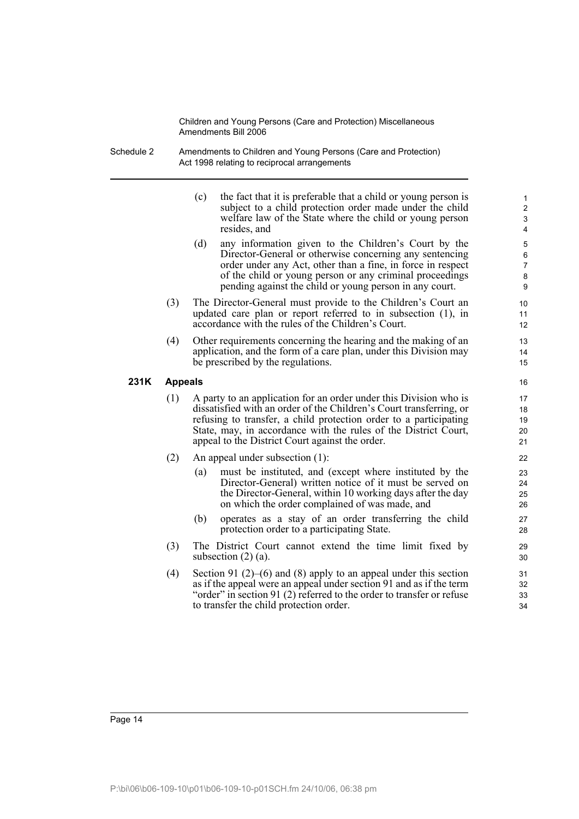- Schedule 2 Amendments to Children and Young Persons (Care and Protection) Act 1998 relating to reciprocal arrangements
	- (c) the fact that it is preferable that a child or young person is subject to a child protection order made under the child welfare law of the State where the child or young person resides, and

- (d) any information given to the Children's Court by the Director-General or otherwise concerning any sentencing order under any Act, other than a fine, in force in respect of the child or young person or any criminal proceedings pending against the child or young person in any court.
- (3) The Director-General must provide to the Children's Court an updated care plan or report referred to in subsection (1), in accordance with the rules of the Children's Court.
- (4) Other requirements concerning the hearing and the making of an application, and the form of a care plan, under this Division may be prescribed by the regulations.

#### **231K Appeals**

- (1) A party to an application for an order under this Division who is dissatisfied with an order of the Children's Court transferring, or refusing to transfer, a child protection order to a participating State, may, in accordance with the rules of the District Court, appeal to the District Court against the order.
- (2) An appeal under subsection (1):
	- (a) must be instituted, and (except where instituted by the Director-General) written notice of it must be served on the Director-General, within 10 working days after the day on which the order complained of was made, and
	- (b) operates as a stay of an order transferring the child protection order to a participating State.
- (3) The District Court cannot extend the time limit fixed by subsection  $(2)$   $(a)$ .
- (4) Section 91 (2)–(6) and (8) apply to an appeal under this section as if the appeal were an appeal under section 91 and as if the term "order" in section 91 (2) referred to the order to transfer or refuse to transfer the child protection order.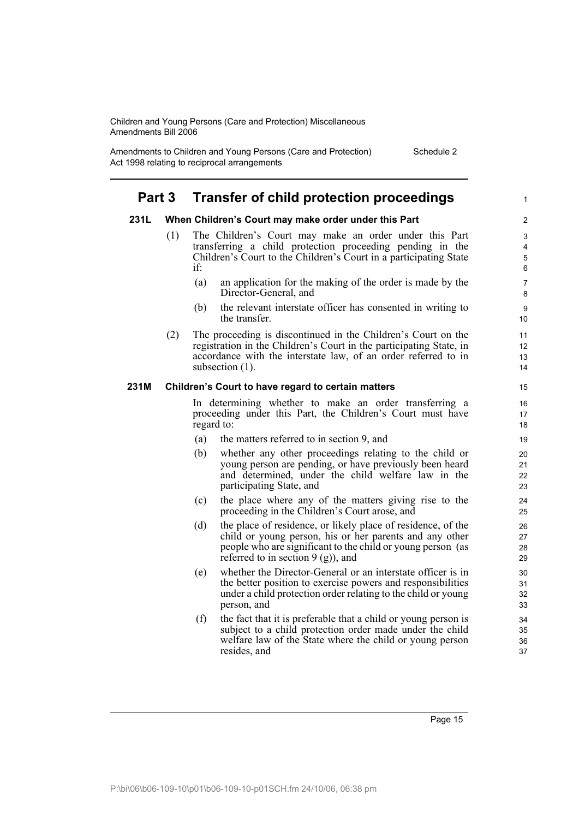Amendments to Children and Young Persons (Care and Protection) Act 1998 relating to reciprocal arrangements

Schedule 2

1

## **Part 3 Transfer of child protection proceedings**

#### **231L When Children's Court may make order under this Part**

- (1) The Children's Court may make an order under this Part transferring a child protection proceeding pending in the Children's Court to the Children's Court in a participating State if:
	- (a) an application for the making of the order is made by the Director-General, and
	- (b) the relevant interstate officer has consented in writing to the transfer.
- (2) The proceeding is discontinued in the Children's Court on the registration in the Children's Court in the participating State, in accordance with the interstate law, of an order referred to in subsection (1).

#### **231M Children's Court to have regard to certain matters**

In determining whether to make an order transferring a proceeding under this Part, the Children's Court must have regard to:

- (a) the matters referred to in section 9, and
- (b) whether any other proceedings relating to the child or young person are pending, or have previously been heard and determined, under the child welfare law in the participating State, and
- (c) the place where any of the matters giving rise to the proceeding in the Children's Court arose, and
- (d) the place of residence, or likely place of residence, of the child or young person, his or her parents and any other people who are significant to the child or young person (as referred to in section  $9$  (g)), and
- (e) whether the Director-General or an interstate officer is in the better position to exercise powers and responsibilities under a child protection order relating to the child or young person, and
- (f) the fact that it is preferable that a child or young person is subject to a child protection order made under the child welfare law of the State where the child or young person resides, and

Page 15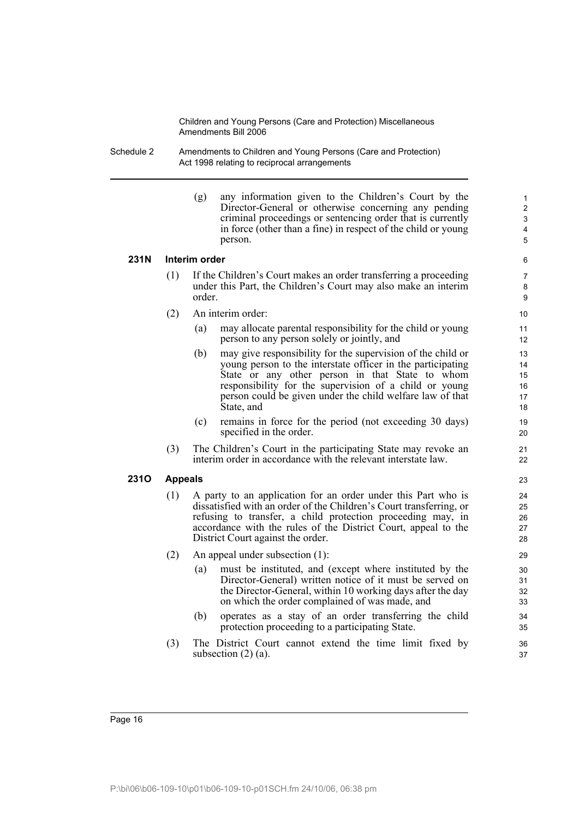- Schedule 2 Amendments to Children and Young Persons (Care and Protection) Act 1998 relating to reciprocal arrangements
	- (g) any information given to the Children's Court by the Director-General or otherwise concerning any pending criminal proceedings or sentencing order that is currently in force (other than a fine) in respect of the child or young person.

#### **231N Interim order**

- (1) If the Children's Court makes an order transferring a proceeding under this Part, the Children's Court may also make an interim order.
- (2) An interim order:
	- (a) may allocate parental responsibility for the child or young person to any person solely or jointly, and
	- (b) may give responsibility for the supervision of the child or young person to the interstate officer in the participating State or any other person in that State to whom responsibility for the supervision of a child or young person could be given under the child welfare law of that State, and
	- (c) remains in force for the period (not exceeding 30 days) specified in the order.
- (3) The Children's Court in the participating State may revoke an interim order in accordance with the relevant interstate law.

#### **231O Appeals**

- (1) A party to an application for an order under this Part who is dissatisfied with an order of the Children's Court transferring, or refusing to transfer, a child protection proceeding may, in accordance with the rules of the District Court, appeal to the District Court against the order.
- (2) An appeal under subsection (1):
	- (a) must be instituted, and (except where instituted by the Director-General) written notice of it must be served on the Director-General, within 10 working days after the day on which the order complained of was made, and
	- (b) operates as a stay of an order transferring the child protection proceeding to a participating State.
- (3) The District Court cannot extend the time limit fixed by subsection  $(2)$   $(a)$ .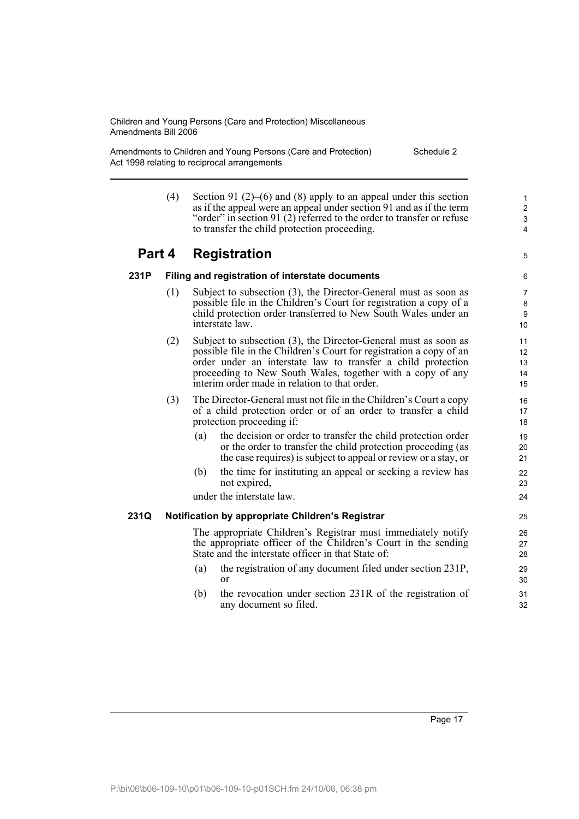Amendments to Children and Young Persons (Care and Protection) Act 1998 relating to reciprocal arrangements Schedule 2

> (4) Section 91 (2)–(6) and (8) apply to an appeal under this section as if the appeal were an appeal under section 91 and as if the term "order" in section 91 (2) referred to the order to transfer or refuse to transfer the child protection proceeding.

## **Part 4 Registration**

5

### **231P Filing and registration of interstate documents**

- (1) Subject to subsection (3), the Director-General must as soon as possible file in the Children's Court for registration a copy of a child protection order transferred to New South Wales under an interstate law.
- (2) Subject to subsection (3), the Director-General must as soon as possible file in the Children's Court for registration a copy of an order under an interstate law to transfer a child protection proceeding to New South Wales, together with a copy of any interim order made in relation to that order.
- (3) The Director-General must not file in the Children's Court a copy of a child protection order or of an order to transfer a child protection proceeding if:
	- (a) the decision or order to transfer the child protection order or the order to transfer the child protection proceeding (as the case requires) is subject to appeal or review or a stay, or
	- (b) the time for instituting an appeal or seeking a review has not expired,

under the interstate law.

#### **231Q Notification by appropriate Children's Registrar**

The appropriate Children's Registrar must immediately notify the appropriate officer of the Children's Court in the sending State and the interstate officer in that State of:

- (a) the registration of any document filed under section 231P, or
- (b) the revocation under section 231R of the registration of any document so filed.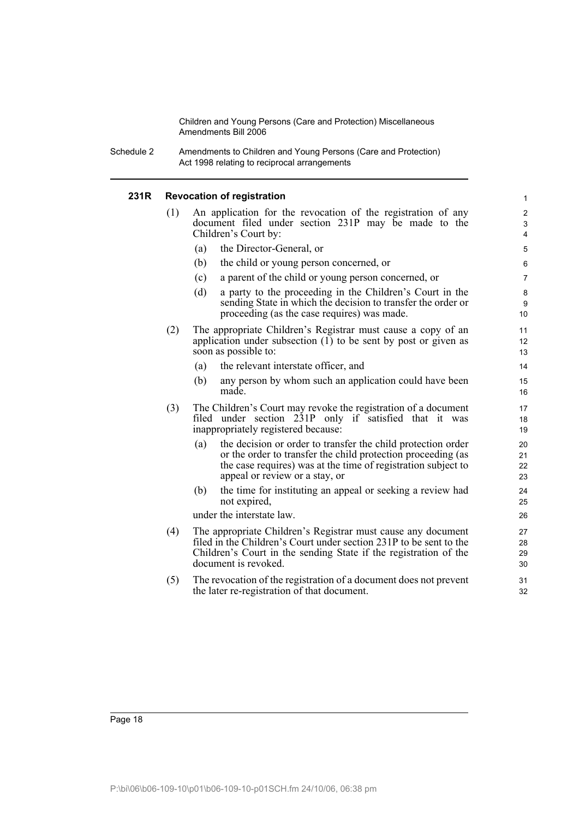Schedule 2 Amendments to Children and Young Persons (Care and Protection) Act 1998 relating to reciprocal arrangements

#### **231R Revocation of registration**

| ₹ |     |     | <b>Revocation of registration</b>                                                                                                                                                                                               | $\mathbf{1}$                            |
|---|-----|-----|---------------------------------------------------------------------------------------------------------------------------------------------------------------------------------------------------------------------------------|-----------------------------------------|
|   | (1) |     | An application for the revocation of the registration of any<br>document filed under section 231P may be made to the<br>Children's Court by:                                                                                    | $\boldsymbol{2}$<br>3<br>$\overline{4}$ |
|   |     | (a) | the Director-General, or                                                                                                                                                                                                        | 5                                       |
|   |     | (b) | the child or young person concerned, or                                                                                                                                                                                         | 6                                       |
|   |     | (c) | a parent of the child or young person concerned, or                                                                                                                                                                             | $\overline{7}$                          |
|   |     | (d) | a party to the proceeding in the Children's Court in the<br>sending State in which the decision to transfer the order or<br>proceeding (as the case requires) was made.                                                         | 8<br>9<br>10                            |
|   | (2) |     | The appropriate Children's Registrar must cause a copy of an<br>application under subsection $(1)$ to be sent by post or given as<br>soon as possible to:                                                                       | 11<br>12<br>13                          |
|   |     | (a) | the relevant interstate officer, and                                                                                                                                                                                            | 14                                      |
|   |     | (b) | any person by whom such an application could have been<br>made.                                                                                                                                                                 | 15<br>16                                |
|   | (3) |     | The Children's Court may revoke the registration of a document<br>filed under section 231P only if satisfied that it was<br>inappropriately registered because:                                                                 | 17<br>18<br>19                          |
|   |     | (a) | the decision or order to transfer the child protection order<br>or the order to transfer the child protection proceeding (as<br>the case requires) was at the time of registration subject to<br>appeal or review or a stay, or | 20<br>21<br>22<br>23                    |
|   |     | (b) | the time for instituting an appeal or seeking a review had<br>not expired,                                                                                                                                                      | 24<br>25                                |
|   |     |     | under the interstate law.                                                                                                                                                                                                       | 26                                      |
|   | (4) |     | The appropriate Children's Registrar must cause any document<br>filed in the Children's Court under section 231P to be sent to the<br>Children's Court in the sending State if the registration of the<br>document is revoked.  | 27<br>28<br>29<br>30                    |
|   | (5) |     | The revocation of the registration of a document does not prevent<br>the later re-registration of that document.                                                                                                                | 31<br>32                                |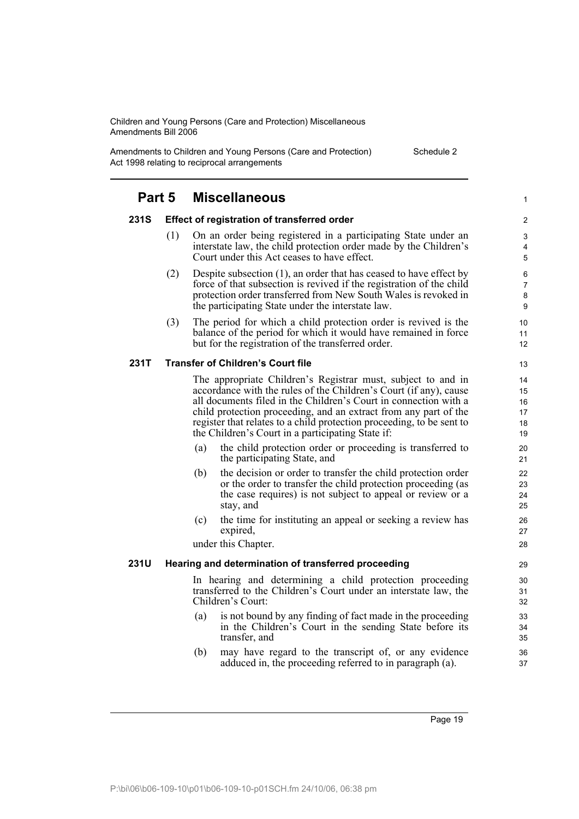Amendments to Children and Young Persons (Care and Protection) Act 1998 relating to reciprocal arrangements

Schedule 2

| Part 5      |     | <b>Miscellaneous</b>                                                                                                                                                                                                                                                                                                                                                                                    | 1                                |
|-------------|-----|---------------------------------------------------------------------------------------------------------------------------------------------------------------------------------------------------------------------------------------------------------------------------------------------------------------------------------------------------------------------------------------------------------|----------------------------------|
| <b>231S</b> |     | Effect of registration of transferred order                                                                                                                                                                                                                                                                                                                                                             | $\overline{\mathbf{c}}$          |
|             | (1) | On an order being registered in a participating State under an<br>interstate law, the child protection order made by the Children's<br>Court under this Act ceases to have effect.                                                                                                                                                                                                                      | 3<br>4<br>5                      |
|             | (2) | Despite subsection $(1)$ , an order that has ceased to have effect by<br>force of that subsection is revived if the registration of the child<br>protection order transferred from New South Wales is revoked in<br>the participating State under the interstate law.                                                                                                                                   | 6<br>7<br>8<br>9                 |
|             | (3) | The period for which a child protection order is revived is the<br>balance of the period for which it would have remained in force<br>but for the registration of the transferred order.                                                                                                                                                                                                                | 10<br>11<br>12                   |
| 231T        |     | <b>Transfer of Children's Court file</b>                                                                                                                                                                                                                                                                                                                                                                | 13                               |
|             |     | The appropriate Children's Registrar must, subject to and in<br>accordance with the rules of the Children's Court (if any), cause<br>all documents filed in the Children's Court in connection with a<br>child protection proceeding, and an extract from any part of the<br>register that relates to a child protection proceeding, to be sent to<br>the Children's Court in a participating State if: | 14<br>15<br>16<br>17<br>18<br>19 |
|             |     | the child protection order or proceeding is transferred to<br>(a)<br>the participating State, and                                                                                                                                                                                                                                                                                                       | 20<br>21                         |
|             |     | (b)<br>the decision or order to transfer the child protection order<br>or the order to transfer the child protection proceeding (as<br>the case requires) is not subject to appeal or review or a<br>stay, and                                                                                                                                                                                          | 22<br>23<br>24<br>25             |
|             |     | the time for instituting an appeal or seeking a review has<br>(c)<br>expired,                                                                                                                                                                                                                                                                                                                           | 26<br>27                         |
|             |     | under this Chapter.                                                                                                                                                                                                                                                                                                                                                                                     | 28                               |
| 231U        |     | Hearing and determination of transferred proceeding                                                                                                                                                                                                                                                                                                                                                     | 29                               |
|             |     | In hearing and determining a child protection proceeding<br>transferred to the Children's Court under an interstate law, the<br>Children's Court:                                                                                                                                                                                                                                                       | 30<br>31<br>32                   |
|             |     | is not bound by any finding of fact made in the proceeding<br>(a)<br>in the Children's Court in the sending State before its<br>transfer, and                                                                                                                                                                                                                                                           | 33<br>34<br>35                   |
|             |     | (b)<br>may have regard to the transcript of, or any evidence<br>adduced in, the proceeding referred to in paragraph (a).                                                                                                                                                                                                                                                                                | 36<br>37                         |

Page 19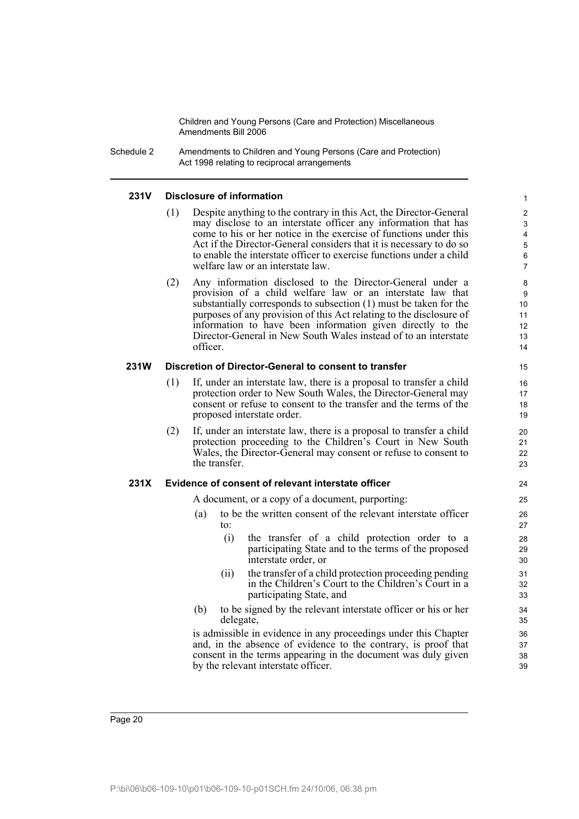Schedule 2 Amendments to Children and Young Persons (Care and Protection) Act 1998 relating to reciprocal arrangements

#### **231V Disclosure of information**

(1) Despite anything to the contrary in this Act, the Director-General may disclose to an interstate officer any information that has come to his or her notice in the exercise of functions under this Act if the Director-General considers that it is necessary to do so to enable the interstate officer to exercise functions under a child welfare law or an interstate law.

(2) Any information disclosed to the Director-General under a provision of a child welfare law or an interstate law that substantially corresponds to subsection (1) must be taken for the purposes of any provision of this Act relating to the disclosure of information to have been information given directly to the Director-General in New South Wales instead of to an interstate officer.

#### **231W Discretion of Director-General to consent to transfer**

- (1) If, under an interstate law, there is a proposal to transfer a child protection order to New South Wales, the Director-General may consent or refuse to consent to the transfer and the terms of the proposed interstate order.
- (2) If, under an interstate law, there is a proposal to transfer a child protection proceeding to the Children's Court in New South Wales, the Director-General may consent or refuse to consent to the transfer.

#### **231X Evidence of consent of relevant interstate officer**

A document, or a copy of a document, purporting:

- (a) to be the written consent of the relevant interstate officer to:
	- (i) the transfer of a child protection order to a participating State and to the terms of the proposed interstate order, or
	- (ii) the transfer of a child protection proceeding pending in the Children's Court to the Children's Court in a participating State, and
- (b) to be signed by the relevant interstate officer or his or her delegate,

is admissible in evidence in any proceedings under this Chapter and, in the absence of evidence to the contrary, is proof that consent in the terms appearing in the document was duly given by the relevant interstate officer.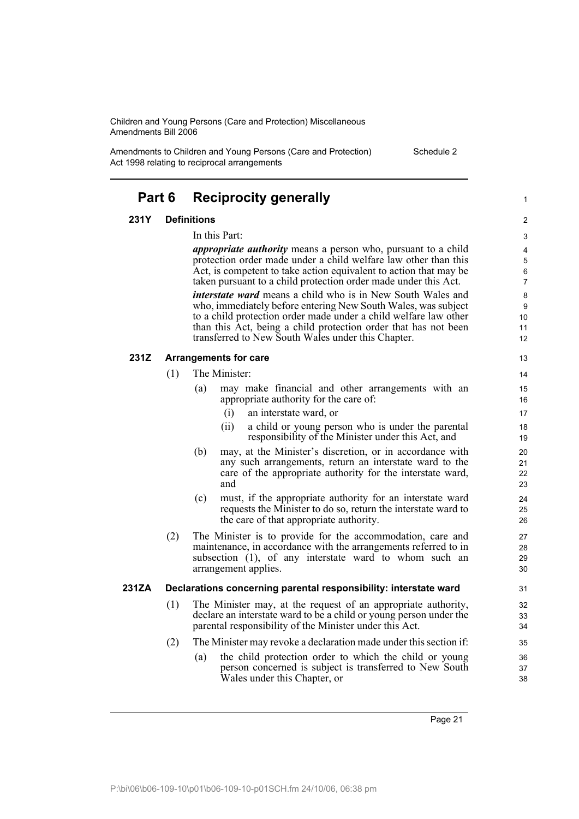Amendments to Children and Young Persons (Care and Protection) Act 1998 relating to reciprocal arrangements

| Schedule 2 |  |
|------------|--|
|------------|--|

| Part 6 |     |                    | <b>Reciprocity generally</b>                                                                                                                                                                                                                                                                                                                                                                                                                                                                                                                                                                                        |
|--------|-----|--------------------|---------------------------------------------------------------------------------------------------------------------------------------------------------------------------------------------------------------------------------------------------------------------------------------------------------------------------------------------------------------------------------------------------------------------------------------------------------------------------------------------------------------------------------------------------------------------------------------------------------------------|
| 231Y   |     | <b>Definitions</b> |                                                                                                                                                                                                                                                                                                                                                                                                                                                                                                                                                                                                                     |
|        |     | In this Part:      | <i>appropriate authority</i> means a person who, pursuant to a child<br>protection order made under a child welfare law other than this<br>Act, is competent to take action equivalent to action that may be<br>taken pursuant to a child protection order made under this Act.<br><i>interstate ward</i> means a child who is in New South Wales and<br>who, immediately before entering New South Wales, was subject<br>to a child protection order made under a child welfare law other<br>than this Act, being a child protection order that has not been<br>transferred to New South Wales under this Chapter. |
| 231Z   |     |                    | <b>Arrangements for care</b>                                                                                                                                                                                                                                                                                                                                                                                                                                                                                                                                                                                        |
|        | (1) | The Minister:      |                                                                                                                                                                                                                                                                                                                                                                                                                                                                                                                                                                                                                     |
|        |     | (a)                | may make financial and other arrangements with an<br>appropriate authority for the care of:                                                                                                                                                                                                                                                                                                                                                                                                                                                                                                                         |
|        |     |                    | an interstate ward, or<br>(i)                                                                                                                                                                                                                                                                                                                                                                                                                                                                                                                                                                                       |
|        |     |                    | a child or young person who is under the parental<br>(i)<br>responsibility of the Minister under this Act, and                                                                                                                                                                                                                                                                                                                                                                                                                                                                                                      |
|        |     | (b)                | may, at the Minister's discretion, or in accordance with<br>any such arrangements, return an interstate ward to the<br>care of the appropriate authority for the interstate ward,<br>and                                                                                                                                                                                                                                                                                                                                                                                                                            |
|        |     | (c)                | must, if the appropriate authority for an interstate ward<br>requests the Minister to do so, return the interstate ward to<br>the care of that appropriate authority.                                                                                                                                                                                                                                                                                                                                                                                                                                               |
|        | (2) |                    | The Minister is to provide for the accommodation, care and<br>maintenance, in accordance with the arrangements referred to in<br>subsection (1), of any interstate ward to whom such an<br>arrangement applies.                                                                                                                                                                                                                                                                                                                                                                                                     |
| 231ZA  |     |                    | Declarations concerning parental responsibility: interstate ward                                                                                                                                                                                                                                                                                                                                                                                                                                                                                                                                                    |
|        | (1) |                    | The Minister may, at the request of an appropriate authority,<br>declare an interstate ward to be a child or young person under the<br>parental responsibility of the Minister under this Act.                                                                                                                                                                                                                                                                                                                                                                                                                      |
|        | (2) |                    | The Minister may revoke a declaration made under this section if:                                                                                                                                                                                                                                                                                                                                                                                                                                                                                                                                                   |
|        |     | (a)                | the child protection order to which the child or young<br>person concerned is subject is transferred to New South<br>Wales under this Chapter, or                                                                                                                                                                                                                                                                                                                                                                                                                                                                   |

Page 21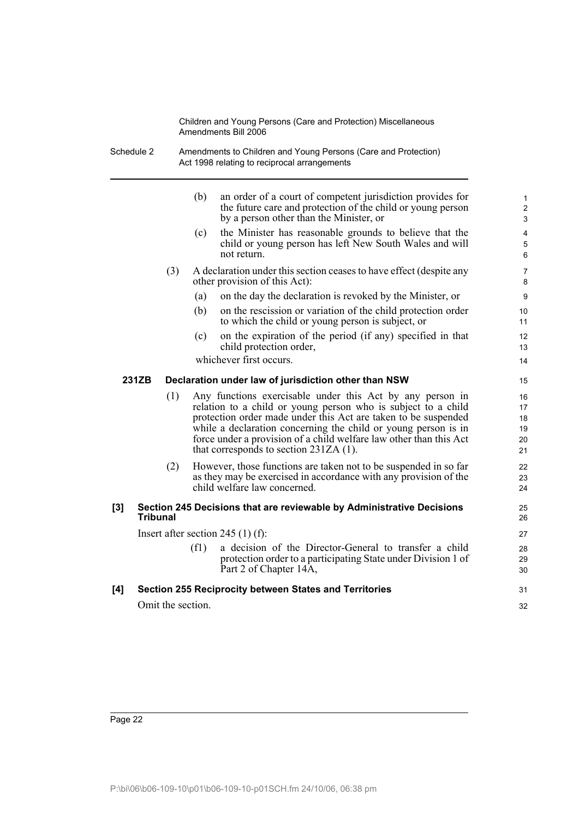Schedule 2 Amendments to Children and Young Persons (Care and Protection) Act 1998 relating to reciprocal arrangements

|     |                   | (b)  | an order of a court of competent jurisdiction provides for<br>the future care and protection of the child or young person<br>by a person other than the Minister, or                                                                                                                                                                                                             | $\mathbf{1}$<br>$\overline{\mathbf{c}}$<br>3 |
|-----|-------------------|------|----------------------------------------------------------------------------------------------------------------------------------------------------------------------------------------------------------------------------------------------------------------------------------------------------------------------------------------------------------------------------------|----------------------------------------------|
|     |                   | (c)  | the Minister has reasonable grounds to believe that the<br>child or young person has left New South Wales and will<br>not return.                                                                                                                                                                                                                                                | 4<br>$\mathbf 5$<br>6                        |
|     | (3)               |      | A declaration under this section ceases to have effect (despite any<br>other provision of this Act):                                                                                                                                                                                                                                                                             | $\overline{7}$<br>8                          |
|     |                   | (a)  | on the day the declaration is revoked by the Minister, or                                                                                                                                                                                                                                                                                                                        | 9                                            |
|     |                   | (b)  | on the rescission or variation of the child protection order<br>to which the child or young person is subject, or                                                                                                                                                                                                                                                                | 10<br>11                                     |
|     |                   | (c)  | on the expiration of the period (if any) specified in that<br>child protection order,                                                                                                                                                                                                                                                                                            | 12<br>13                                     |
|     |                   |      | whichever first occurs.                                                                                                                                                                                                                                                                                                                                                          | 14                                           |
|     | 231ZB             |      | Declaration under law of jurisdiction other than NSW                                                                                                                                                                                                                                                                                                                             | 15                                           |
|     | (1)               |      | Any functions exercisable under this Act by any person in<br>relation to a child or young person who is subject to a child<br>protection order made under this Act are taken to be suspended<br>while a declaration concerning the child or young person is in<br>force under a provision of a child welfare law other than this Act<br>that corresponds to section $231ZA(1)$ . | 16<br>17<br>18<br>19<br>20<br>21             |
|     | (2)               |      | However, those functions are taken not to be suspended in so far<br>as they may be exercised in accordance with any provision of the<br>child welfare law concerned.                                                                                                                                                                                                             | 22<br>23<br>24                               |
| [3] | <b>Tribunal</b>   |      | Section 245 Decisions that are reviewable by Administrative Decisions                                                                                                                                                                                                                                                                                                            | 25<br>26                                     |
|     |                   |      | Insert after section 245 $(1)$ (f):                                                                                                                                                                                                                                                                                                                                              | 27                                           |
|     |                   | (f1) | a decision of the Director-General to transfer a child<br>protection order to a participating State under Division 1 of<br>Part 2 of Chapter 14A,                                                                                                                                                                                                                                | 28<br>29<br>30                               |
| [4] |                   |      | <b>Section 255 Reciprocity between States and Territories</b>                                                                                                                                                                                                                                                                                                                    | 31                                           |
|     | Omit the section. |      |                                                                                                                                                                                                                                                                                                                                                                                  | 32                                           |
|     |                   |      |                                                                                                                                                                                                                                                                                                                                                                                  |                                              |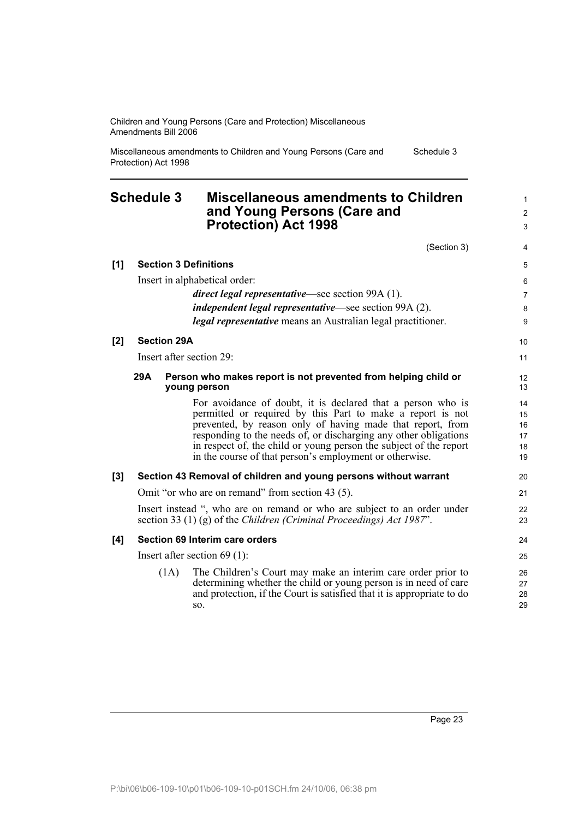<span id="page-36-0"></span>

|       | Protection) Act 1998         |                                                                                                                                                                                                                                                                                                                                                                                              |                                              |  |
|-------|------------------------------|----------------------------------------------------------------------------------------------------------------------------------------------------------------------------------------------------------------------------------------------------------------------------------------------------------------------------------------------------------------------------------------------|----------------------------------------------|--|
|       | <b>Schedule 3</b>            | <b>Miscellaneous amendments to Children</b><br>and Young Persons (Care and<br><b>Protection) Act 1998</b>                                                                                                                                                                                                                                                                                    | $\mathbf 1$<br>$\overline{2}$<br>$\mathsf 3$ |  |
|       |                              | (Section 3)                                                                                                                                                                                                                                                                                                                                                                                  | 4                                            |  |
| [1]   | <b>Section 3 Definitions</b> |                                                                                                                                                                                                                                                                                                                                                                                              | 5                                            |  |
|       |                              | Insert in alphabetical order:                                                                                                                                                                                                                                                                                                                                                                | 6                                            |  |
|       |                              | <i>direct legal representative</i> —see section 99A (1).                                                                                                                                                                                                                                                                                                                                     | $\overline{7}$                               |  |
|       |                              | independent legal representative-see section 99A (2).                                                                                                                                                                                                                                                                                                                                        | 8                                            |  |
|       |                              | <i>legal representative</i> means an Australian legal practitioner.                                                                                                                                                                                                                                                                                                                          | 9                                            |  |
| [2]   | <b>Section 29A</b>           |                                                                                                                                                                                                                                                                                                                                                                                              | 10                                           |  |
|       | Insert after section 29:     |                                                                                                                                                                                                                                                                                                                                                                                              | 11                                           |  |
|       | 29A                          | Person who makes report is not prevented from helping child or<br>young person                                                                                                                                                                                                                                                                                                               | 12<br>13                                     |  |
|       |                              | For avoidance of doubt, it is declared that a person who is<br>permitted or required by this Part to make a report is not<br>prevented, by reason only of having made that report, from<br>responding to the needs of, or discharging any other obligations<br>in respect of, the child or young person the subject of the report<br>in the course of that person's employment or otherwise. | 14<br>15<br>16<br>17<br>18<br>19             |  |
| $[3]$ |                              | Section 43 Removal of children and young persons without warrant                                                                                                                                                                                                                                                                                                                             | 20                                           |  |
|       |                              | Omit "or who are on remand" from section 43 (5).                                                                                                                                                                                                                                                                                                                                             | 21                                           |  |
|       |                              | Insert instead ", who are on remand or who are subject to an order under<br>section 33 (1) (g) of the Children (Criminal Proceedings) Act 1987".                                                                                                                                                                                                                                             | 22<br>23                                     |  |
| [4]   |                              | Section 69 Interim care orders                                                                                                                                                                                                                                                                                                                                                               | 24                                           |  |
|       |                              | Insert after section $69(1)$ :                                                                                                                                                                                                                                                                                                                                                               | 25                                           |  |
|       | (1A)                         | The Children's Court may make an interim care order prior to<br>determining whether the child or young person is in need of care<br>and protection, if the Court is satisfied that it is appropriate to do<br>SO.                                                                                                                                                                            | 26<br>27<br>28<br>29                         |  |

Miscellaneous amendments to Children and Young Persons (Care and Schedule 3

## Page 23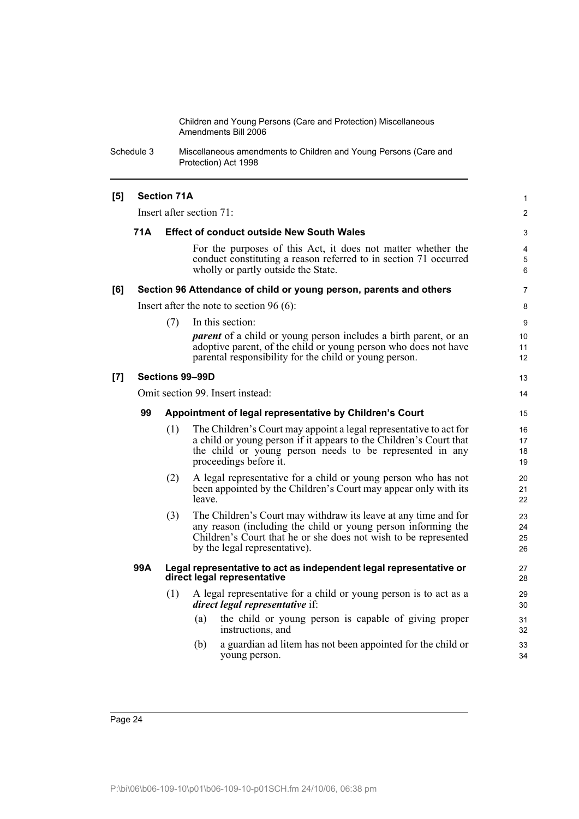Schedule 3 Miscellaneous amendments to Children and Young Persons (Care and Protection) Act 1998

| [5] | <b>Section 71A</b>                                            |     |                                                                                                                                                                                                                                      |                      |  |  |
|-----|---------------------------------------------------------------|-----|--------------------------------------------------------------------------------------------------------------------------------------------------------------------------------------------------------------------------------------|----------------------|--|--|
|     | Insert after section 71:                                      |     |                                                                                                                                                                                                                                      |                      |  |  |
|     | 71A<br><b>Effect of conduct outside New South Wales</b>       |     |                                                                                                                                                                                                                                      |                      |  |  |
|     |                                                               |     | For the purposes of this Act, it does not matter whether the<br>conduct constituting a reason referred to in section 71 occurred<br>wholly or partly outside the State.                                                              | 4<br>5<br>6          |  |  |
| [6] |                                                               |     | Section 96 Attendance of child or young person, parents and others                                                                                                                                                                   | 7                    |  |  |
|     | Insert after the note to section 96 (6):                      |     |                                                                                                                                                                                                                                      |                      |  |  |
|     |                                                               | (7) | In this section:<br><i>parent</i> of a child or young person includes a birth parent, or an<br>adoptive parent, of the child or young person who does not have<br>parental responsibility for the child or young person.             | 9<br>10<br>11<br>12  |  |  |
| [7] |                                                               |     | Sections 99-99D                                                                                                                                                                                                                      | 13                   |  |  |
|     |                                                               |     | Omit section 99. Insert instead:                                                                                                                                                                                                     | 14                   |  |  |
|     | 99<br>Appointment of legal representative by Children's Court |     |                                                                                                                                                                                                                                      |                      |  |  |
|     |                                                               | (1) | The Children's Court may appoint a legal representative to act for<br>a child or young person if it appears to the Children's Court that<br>the child or young person needs to be represented in any<br>proceedings before it.       | 16<br>17<br>18<br>19 |  |  |
|     |                                                               | (2) | A legal representative for a child or young person who has not<br>been appointed by the Children's Court may appear only with its<br>leave.                                                                                          | 20<br>21<br>22       |  |  |
|     |                                                               | (3) | The Children's Court may withdraw its leave at any time and for<br>any reason (including the child or young person informing the<br>Children's Court that he or she does not wish to be represented<br>by the legal representative). | 23<br>24<br>25<br>26 |  |  |
|     | 99A                                                           |     | Legal representative to act as independent legal representative or<br>direct legal representative                                                                                                                                    | 27<br>28             |  |  |
|     |                                                               | (1) | A legal representative for a child or young person is to act as a<br><i>direct legal representative</i> if:                                                                                                                          | 29<br>30             |  |  |
|     |                                                               |     | the child or young person is capable of giving proper<br>(a)<br>instructions, and                                                                                                                                                    | 31<br>32             |  |  |
|     |                                                               |     | a guardian ad litem has not been appointed for the child or<br>(b)<br>young person.                                                                                                                                                  | 33<br>34             |  |  |
|     |                                                               |     |                                                                                                                                                                                                                                      |                      |  |  |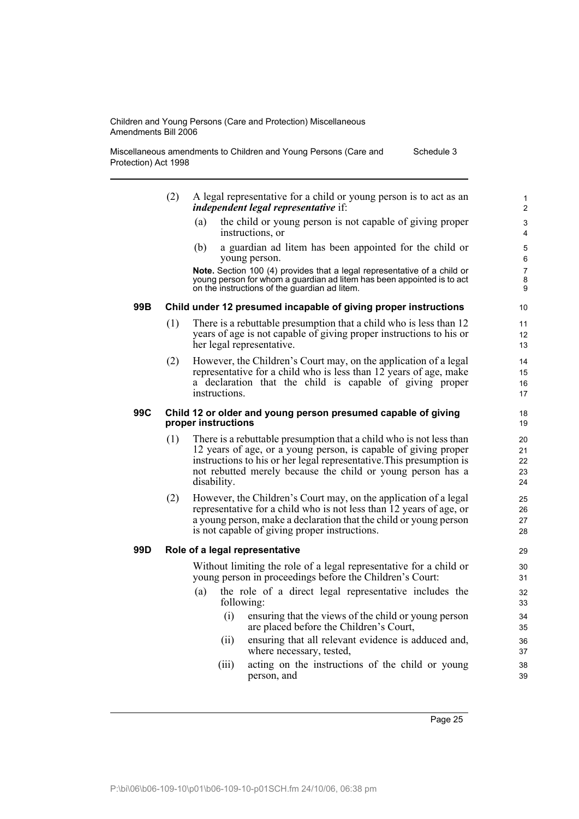Miscellaneous amendments to Children and Young Persons (Care and Protection) Act 1998 Schedule 3

- (2) A legal representative for a child or young person is to act as an *independent legal representative* if:
	- (a) the child or young person is not capable of giving proper instructions, or
	- (b) a guardian ad litem has been appointed for the child or young person.

**Note.** Section 100 (4) provides that a legal representative of a child or young person for whom a guardian ad litem has been appointed is to act on the instructions of the guardian ad litem.

#### **99B Child under 12 presumed incapable of giving proper instructions**

- (1) There is a rebuttable presumption that a child who is less than 12 years of age is not capable of giving proper instructions to his or her legal representative.
- (2) However, the Children's Court may, on the application of a legal representative for a child who is less than 12 years of age, make a declaration that the child is capable of giving proper instructions.

#### **99C Child 12 or older and young person presumed capable of giving proper instructions**

- (1) There is a rebuttable presumption that a child who is not less than 12 years of age, or a young person, is capable of giving proper instructions to his or her legal representative.This presumption is not rebutted merely because the child or young person has a disability.
- (2) However, the Children's Court may, on the application of a legal representative for a child who is not less than 12 years of age, or a young person, make a declaration that the child or young person is not capable of giving proper instructions.

#### **99D Role of a legal representative**

Without limiting the role of a legal representative for a child or young person in proceedings before the Children's Court:

- (a) the role of a direct legal representative includes the following:
	- (i) ensuring that the views of the child or young person are placed before the Children's Court,
	- (ii) ensuring that all relevant evidence is adduced and, where necessary, tested,
	- (iii) acting on the instructions of the child or young person, and

Page 25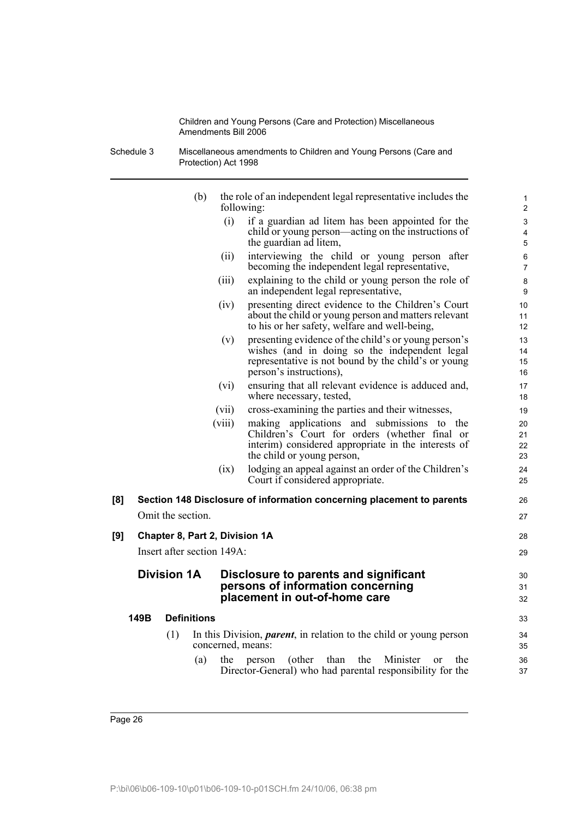Schedule 3 Miscellaneous amendments to Children and Young Persons (Care and Protection) Act 1998

|     |      |                            | (b) | the role of an independent legal representative includes the<br>following:                                                                                                                     | 1<br>$\overline{2}$  |
|-----|------|----------------------------|-----|------------------------------------------------------------------------------------------------------------------------------------------------------------------------------------------------|----------------------|
|     |      |                            |     | (i)<br>if a guardian ad litem has been appointed for the<br>child or young person—acting on the instructions of<br>the guardian ad litem,                                                      | 3<br>4<br>5          |
|     |      |                            |     | interviewing the child or young person after<br>(11)<br>becoming the independent legal representative,                                                                                         | 6<br>$\overline{7}$  |
|     |      |                            |     | explaining to the child or young person the role of<br>(111)<br>an independent legal representative,                                                                                           | 8<br>9               |
|     |      |                            |     | presenting direct evidence to the Children's Court<br>(iv)<br>about the child or young person and matters relevant<br>to his or her safety, welfare and well-being,                            | 10<br>11<br>12       |
|     |      |                            |     | presenting evidence of the child's or young person's<br>(v)<br>wishes (and in doing so the independent legal<br>representative is not bound by the child's or young<br>person's instructions), | 13<br>14<br>15<br>16 |
|     |      |                            |     | ensuring that all relevant evidence is adduced and,<br>(vi)<br>where necessary, tested,                                                                                                        | 17<br>18             |
|     |      |                            |     | cross-examining the parties and their witnesses,<br>(vii)                                                                                                                                      | 19                   |
|     |      |                            |     | (viii)<br>making applications and submissions to the<br>Children's Court for orders (whether final or<br>interim) considered appropriate in the interests of<br>the child or young person,     | 20<br>21<br>22<br>23 |
|     |      |                            |     | lodging an appeal against an order of the Children's<br>(ix)<br>Court if considered appropriate.                                                                                               | 24<br>25             |
| [8] |      |                            |     | Section 148 Disclosure of information concerning placement to parents                                                                                                                          | 26                   |
|     |      | Omit the section.          |     |                                                                                                                                                                                                | 27                   |
| [9] |      |                            |     | <b>Chapter 8, Part 2, Division 1A</b>                                                                                                                                                          | 28                   |
|     |      | Insert after section 149A: |     |                                                                                                                                                                                                | 29                   |
|     |      | <b>Division 1A</b>         |     |                                                                                                                                                                                                |                      |
|     |      |                            |     | Disclosure to parents and significant<br>persons of information concerning<br>placement in out-of-home care                                                                                    | 30<br>31<br>32       |
|     | 149B | <b>Definitions</b>         |     |                                                                                                                                                                                                | 33                   |
|     |      | (1)                        |     | In this Division, <i>parent</i> , in relation to the child or young person<br>concerned, means:                                                                                                | 34<br>35             |
|     |      |                            | (a) | the<br>Minister<br>the<br>(other)<br>than<br>the<br>person<br>or<br>Director-General) who had parental responsibility for the                                                                  | 36<br>37             |
|     |      |                            |     |                                                                                                                                                                                                |                      |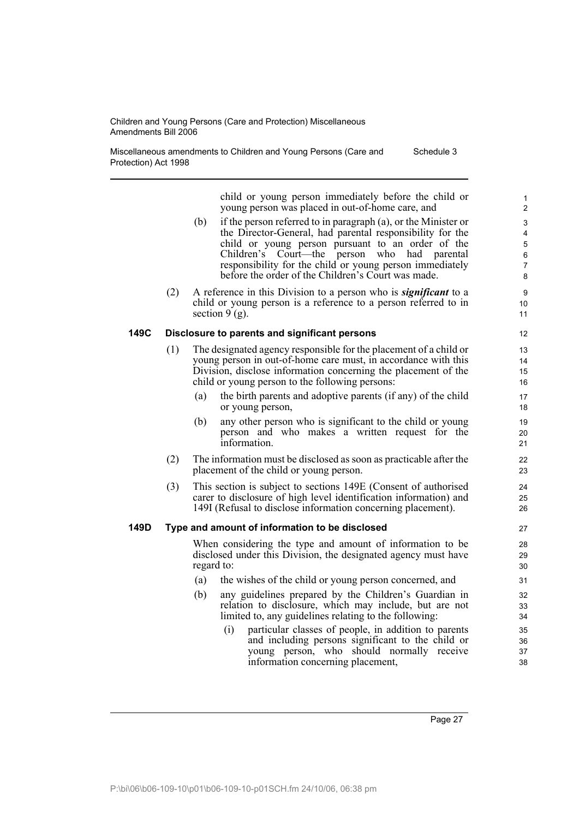Miscellaneous amendments to Children and Young Persons (Care and Protection) Act 1998 Schedule 3

> child or young person immediately before the child or young person was placed in out-of-home care, and

- (b) if the person referred to in paragraph (a), or the Minister or the Director-General, had parental responsibility for the child or young person pursuant to an order of the Children's Court—the person who had parental responsibility for the child or young person immediately before the order of the Children's Court was made.
- (2) A reference in this Division to a person who is *significant* to a child or young person is a reference to a person referred to in section  $9(g)$ .

#### **149C Disclosure to parents and significant persons**

- (1) The designated agency responsible for the placement of a child or young person in out-of-home care must, in accordance with this Division, disclose information concerning the placement of the child or young person to the following persons:
	- (a) the birth parents and adoptive parents (if any) of the child or young person,
	- (b) any other person who is significant to the child or young person and who makes a written request for the information.
- (2) The information must be disclosed as soon as practicable after the placement of the child or young person.
- (3) This section is subject to sections 149E (Consent of authorised carer to disclosure of high level identification information) and 149I (Refusal to disclose information concerning placement).

#### **149D Type and amount of information to be disclosed**

When considering the type and amount of information to be disclosed under this Division, the designated agency must have regard to:

- (a) the wishes of the child or young person concerned, and
- (b) any guidelines prepared by the Children's Guardian in relation to disclosure, which may include, but are not limited to, any guidelines relating to the following:
	- (i) particular classes of people, in addition to parents and including persons significant to the child or young person, who should normally receive information concerning placement,

Page 27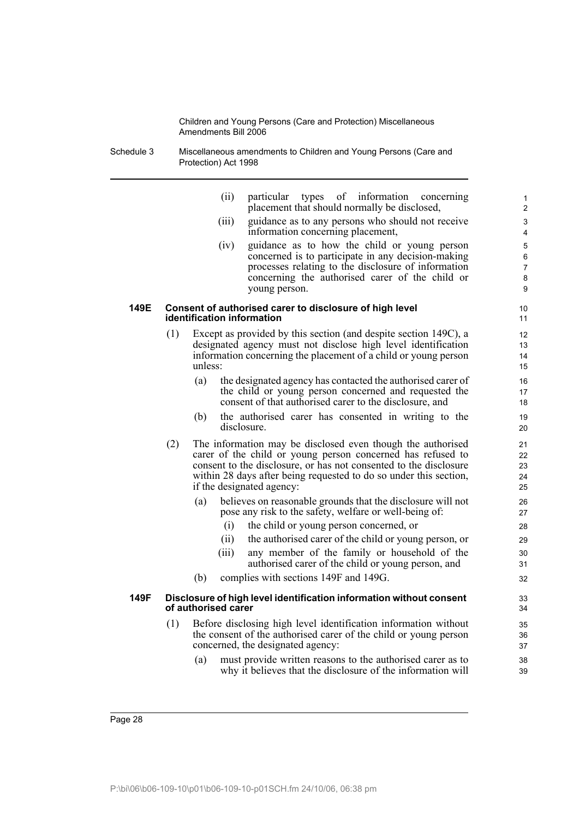Schedule 3 Miscellaneous amendments to Children and Young Persons (Care and Protection) Act 1998

| (ii) |  | particular types of information concerning   |  |
|------|--|----------------------------------------------|--|
|      |  | placement that should normally be disclosed, |  |

- (iii) guidance as to any persons who should not receive information concerning placement,
- (iv) guidance as to how the child or young person concerned is to participate in any decision-making processes relating to the disclosure of information concerning the authorised carer of the child or young person.

#### **149E Consent of authorised carer to disclosure of high level identification information**

- (1) Except as provided by this section (and despite section 149C), a designated agency must not disclose high level identification information concerning the placement of a child or young person unless:
	- (a) the designated agency has contacted the authorised carer of the child or young person concerned and requested the consent of that authorised carer to the disclosure, and
	- (b) the authorised carer has consented in writing to the disclosure.
- (2) The information may be disclosed even though the authorised carer of the child or young person concerned has refused to consent to the disclosure, or has not consented to the disclosure within 28 days after being requested to do so under this section, if the designated agency:
	- (a) believes on reasonable grounds that the disclosure will not pose any risk to the safety, welfare or well-being of:
		- (i) the child or young person concerned, or
		- (ii) the authorised carer of the child or young person, or
		- (iii) any member of the family or household of the authorised carer of the child or young person, and
	- (b) complies with sections 149F and 149G.

#### **149F Disclosure of high level identification information without consent of authorised carer**

- (1) Before disclosing high level identification information without the consent of the authorised carer of the child or young person concerned, the designated agency:
	- (a) must provide written reasons to the authorised carer as to why it believes that the disclosure of the information will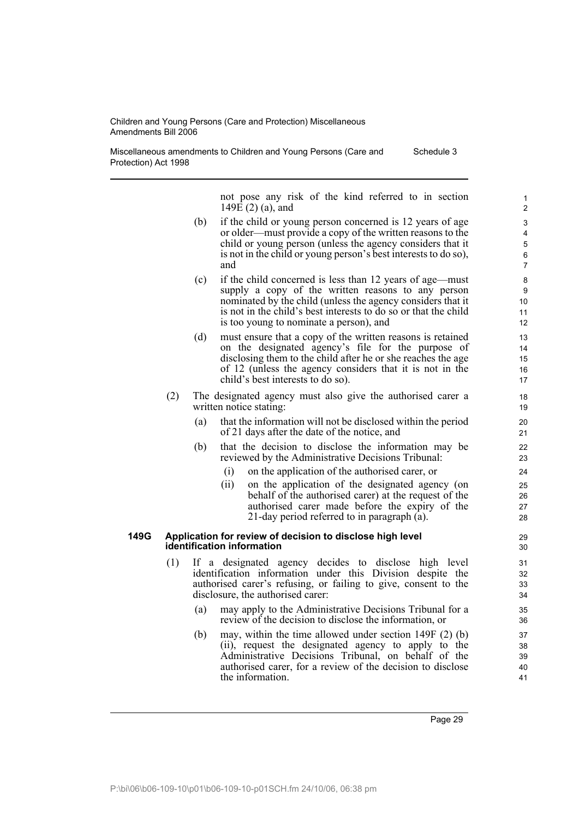Miscellaneous amendments to Children and Young Persons (Care and Protection) Act 1998 Schedule 3

> not pose any risk of the kind referred to in section 149 $E(2)$  (a), and

- (b) if the child or young person concerned is 12 years of age or older—must provide a copy of the written reasons to the child or young person (unless the agency considers that it is not in the child or young person's best interests to do so), and
- (c) if the child concerned is less than 12 years of age—must supply a copy of the written reasons to any person nominated by the child (unless the agency considers that it is not in the child's best interests to do so or that the child is too young to nominate a person), and
- (d) must ensure that a copy of the written reasons is retained on the designated agency's file for the purpose of disclosing them to the child after he or she reaches the age of 12 (unless the agency considers that it is not in the child's best interests to do so).
- (2) The designated agency must also give the authorised carer a written notice stating:
	- (a) that the information will not be disclosed within the period of 21 days after the date of the notice, and
	- (b) that the decision to disclose the information may be reviewed by the Administrative Decisions Tribunal:
		- (i) on the application of the authorised carer, or
		- (ii) on the application of the designated agency (on behalf of the authorised carer) at the request of the authorised carer made before the expiry of the 21-day period referred to in paragraph (a).

#### **149G Application for review of decision to disclose high level identification information**

- (1) If a designated agency decides to disclose high level identification information under this Division despite the authorised carer's refusing, or failing to give, consent to the disclosure, the authorised carer:
	- (a) may apply to the Administrative Decisions Tribunal for a review of the decision to disclose the information, or
	- (b) may, within the time allowed under section 149F (2) (b) (ii), request the designated agency to apply to the Administrative Decisions Tribunal, on behalf of the authorised carer, for a review of the decision to disclose the information.

Page 29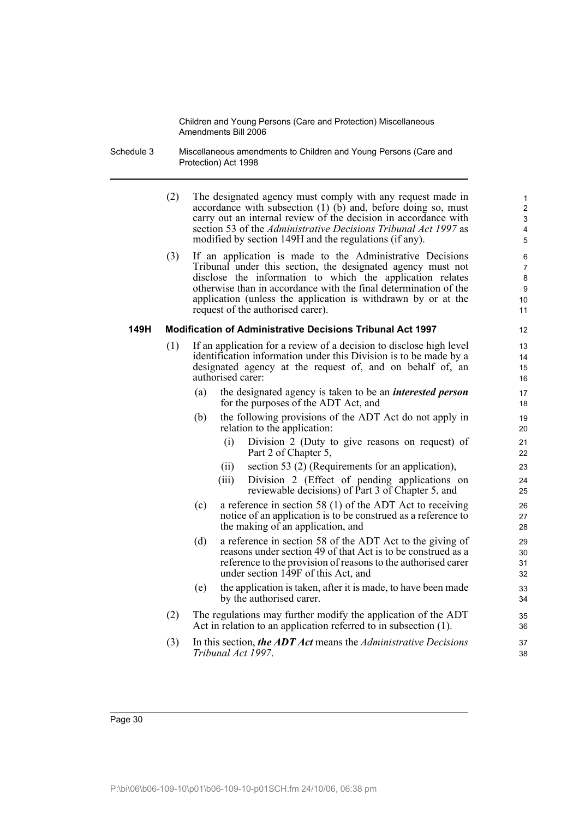- Schedule 3 Miscellaneous amendments to Children and Young Persons (Care and Protection) Act 1998
	- (2) The designated agency must comply with any request made in accordance with subsection  $(1)$   $(b)$  and, before doing so, must carry out an internal review of the decision in accordance with section 53 of the *Administrative Decisions Tribunal Act 1997* as modified by section 149H and the regulations (if any).

(3) If an application is made to the Administrative Decisions Tribunal under this section, the designated agency must not disclose the information to which the application relates otherwise than in accordance with the final determination of the application (unless the application is withdrawn by or at the request of the authorised carer).

#### **149H Modification of Administrative Decisions Tribunal Act 1997**

- (1) If an application for a review of a decision to disclose high level identification information under this Division is to be made by a designated agency at the request of, and on behalf of, an authorised carer:
	- (a) the designated agency is taken to be an *interested person* for the purposes of the ADT Act, and
	- (b) the following provisions of the ADT Act do not apply in relation to the application:
		- (i) Division 2 (Duty to give reasons on request) of Part 2 of Chapter 5,
		- (ii) section 53 (2) (Requirements for an application),
		- (iii) Division 2 (Effect of pending applications on reviewable decisions) of Part 3 of Chapter 5, and
	- (c) a reference in section 58 (1) of the ADT Act to receiving notice of an application is to be construed as a reference to the making of an application, and
	- (d) a reference in section 58 of the ADT Act to the giving of reasons under section 49 of that Act is to be construed as a reference to the provision of reasons to the authorised carer under section 149F of this Act, and
	- (e) the application is taken, after it is made, to have been made by the authorised carer.
- (2) The regulations may further modify the application of the ADT Act in relation to an application referred to in subsection (1).
- (3) In this section, *the ADT Act* means the *Administrative Decisions Tribunal Act 1997*.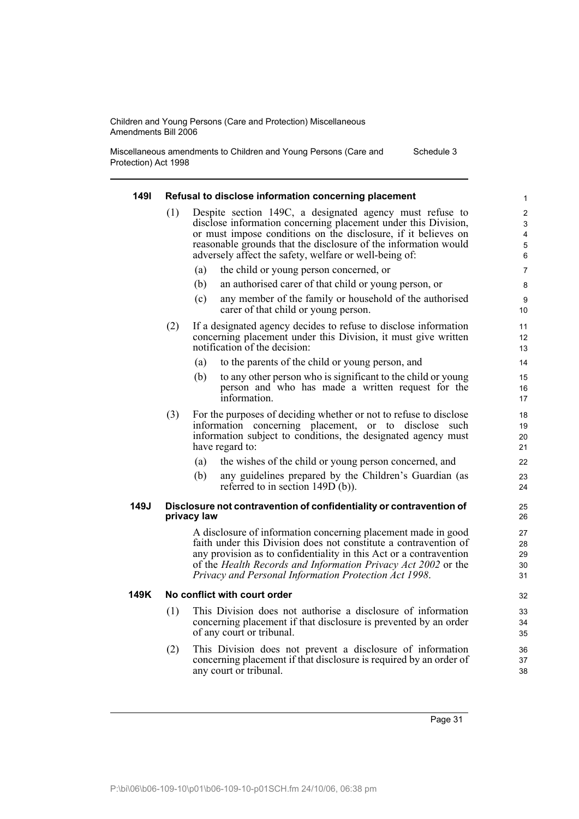Miscellaneous amendments to Children and Young Persons (Care and Protection) Act 1998 Schedule 3

#### **149I Refusal to disclose information concerning placement** (1) Despite section 149C, a designated agency must refuse to disclose information concerning placement under this Division, or must impose conditions on the disclosure, if it believes on reasonable grounds that the disclosure of the information would adversely affect the safety, welfare or well-being of: (a) the child or young person concerned, or (b) an authorised carer of that child or young person, or (c) any member of the family or household of the authorised carer of that child or young person. (2) If a designated agency decides to refuse to disclose information concerning placement under this Division, it must give written notification of the decision: (a) to the parents of the child or young person, and (b) to any other person who is significant to the child or young person and who has made a written request for the information. (3) For the purposes of deciding whether or not to refuse to disclose information concerning placement, or to disclose such information subject to conditions, the designated agency must have regard to: (a) the wishes of the child or young person concerned, and (b) any guidelines prepared by the Children's Guardian (as referred to in section 149D (b)). **149J Disclosure not contravention of confidentiality or contravention of privacy law** A disclosure of information concerning placement made in good faith under this Division does not constitute a contravention of any provision as to confidentiality in this Act or a contravention of the *Health Records and Information Privacy Act 2002* or the *Privacy and Personal Information Protection Act 1998*. **149K No conflict with court order** (1) This Division does not authorise a disclosure of information concerning placement if that disclosure is prevented by an order of any court or tribunal. (2) This Division does not prevent a disclosure of information concerning placement if that disclosure is required by an order of 1 2 3 4 5 6 7 8 9 10 11 12 13 14 15 16 17 18 19 20 21 22 23  $24$ 25 26 27 28 29 30 31 32 33 34 35 36 37

Page 31

38

any court or tribunal.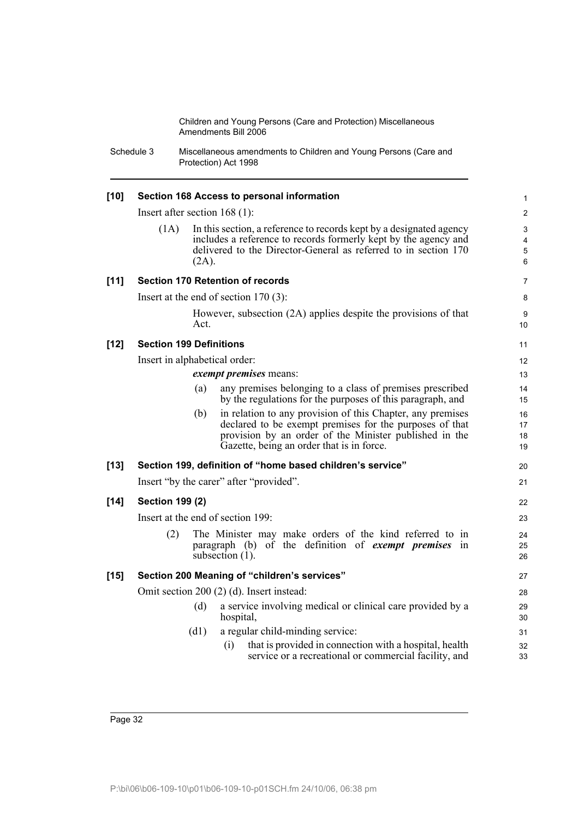Schedule 3 Miscellaneous amendments to Children and Young Persons (Care and Protection) Act 1998

| $[10]$ |                                | Section 168 Access to personal information                                                                                                                                                                                          | $\mathbf{1}$         |
|--------|--------------------------------|-------------------------------------------------------------------------------------------------------------------------------------------------------------------------------------------------------------------------------------|----------------------|
|        |                                | Insert after section $168(1)$ :                                                                                                                                                                                                     | $\overline{2}$       |
|        | (1A)                           | In this section, a reference to records kept by a designated agency<br>includes a reference to records formerly kept by the agency and<br>delivered to the Director-General as referred to in section 170<br>$(2A)$ .               | 3<br>4<br>5<br>6     |
| $[11]$ |                                | <b>Section 170 Retention of records</b>                                                                                                                                                                                             | $\overline{7}$       |
|        |                                | Insert at the end of section $170(3)$ :                                                                                                                                                                                             | 8                    |
|        |                                | However, subsection (2A) applies despite the provisions of that<br>Act.                                                                                                                                                             | 9<br>10              |
| $[12]$ | <b>Section 199 Definitions</b> |                                                                                                                                                                                                                                     | 11                   |
|        |                                | Insert in alphabetical order:                                                                                                                                                                                                       | 12                   |
|        |                                | <i>exempt premises</i> means:                                                                                                                                                                                                       | 13                   |
|        |                                | any premises belonging to a class of premises prescribed<br>(a)<br>by the regulations for the purposes of this paragraph, and                                                                                                       | 14<br>15             |
|        |                                | in relation to any provision of this Chapter, any premises<br>(b)<br>declared to be exempt premises for the purposes of that<br>provision by an order of the Minister published in the<br>Gazette, being an order that is in force. | 16<br>17<br>18<br>19 |
| $[13]$ |                                | Section 199, definition of "home based children's service"                                                                                                                                                                          | 20                   |
|        |                                | Insert "by the carer" after "provided".                                                                                                                                                                                             | 21                   |
| $[14]$ | <b>Section 199 (2)</b>         |                                                                                                                                                                                                                                     | 22                   |
|        |                                | Insert at the end of section 199:                                                                                                                                                                                                   | 23                   |
|        | (2)                            | The Minister may make orders of the kind referred to in<br>paragraph (b) of the definition of <i>exempt premises</i> in<br>subsection $(1)$ .                                                                                       | 24<br>25<br>26       |
| $[15]$ |                                | Section 200 Meaning of "children's services"                                                                                                                                                                                        | 27                   |
|        |                                | Omit section 200 (2) (d). Insert instead:                                                                                                                                                                                           | 28                   |
|        |                                | (d)<br>a service involving medical or clinical care provided by a<br>hospital,                                                                                                                                                      | 29<br>30             |
|        |                                | (d1)<br>a regular child-minding service:                                                                                                                                                                                            | 31                   |
|        |                                | that is provided in connection with a hospital, health<br>(i)<br>service or a recreational or commercial facility, and                                                                                                              | 32<br>33             |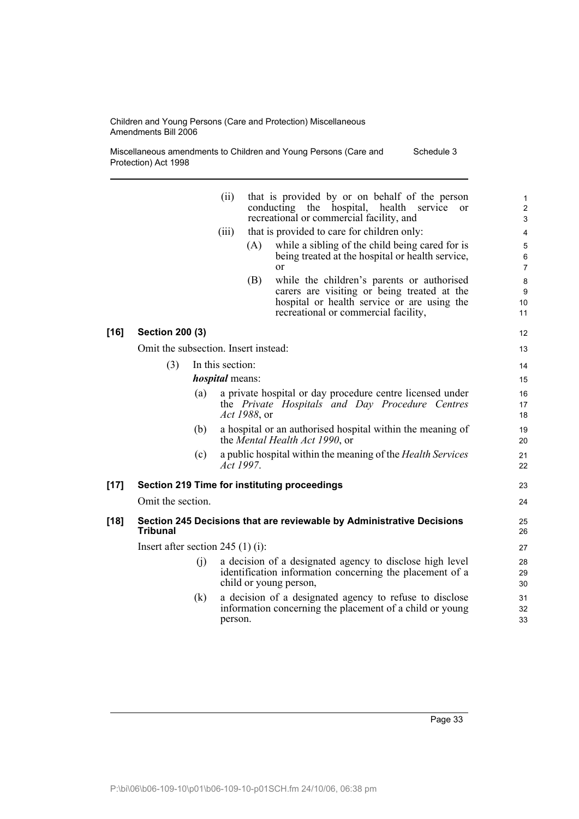Miscellaneous amendments to Children and Young Persons (Care and Protection) Act 1998 Schedule 3

|      |                                      |     | (ii)<br>(iii)          | (A)<br>(B)   | that is provided by or on behalf of the person<br>conducting<br>the<br>hospital,<br>health<br>service<br><sub>or</sub><br>recreational or commercial facility, and<br>that is provided to care for children only:<br>while a sibling of the child being cared for is<br>being treated at the hospital or health service,<br><sub>or</sub><br>while the children's parents or authorised<br>carers are visiting or being treated at the<br>hospital or health service or are using the<br>recreational or commercial facility, | $\mathbf{1}$<br>$\overline{c}$<br>$\mathsf 3$<br>4<br>5<br>6<br>$\overline{7}$<br>8<br>9<br>10<br>11 |
|------|--------------------------------------|-----|------------------------|--------------|-------------------------------------------------------------------------------------------------------------------------------------------------------------------------------------------------------------------------------------------------------------------------------------------------------------------------------------------------------------------------------------------------------------------------------------------------------------------------------------------------------------------------------|------------------------------------------------------------------------------------------------------|
| [16] | <b>Section 200 (3)</b>               |     |                        |              |                                                                                                                                                                                                                                                                                                                                                                                                                                                                                                                               | 12                                                                                                   |
|      | Omit the subsection. Insert instead: |     |                        |              |                                                                                                                                                                                                                                                                                                                                                                                                                                                                                                                               | 13                                                                                                   |
|      | (3)                                  |     | In this section:       |              |                                                                                                                                                                                                                                                                                                                                                                                                                                                                                                                               | 14                                                                                                   |
|      |                                      |     | <i>hospital</i> means: |              |                                                                                                                                                                                                                                                                                                                                                                                                                                                                                                                               | 15                                                                                                   |
|      |                                      | (a) |                        | Act 1988, or | a private hospital or day procedure centre licensed under<br>the Private Hospitals and Day Procedure Centres                                                                                                                                                                                                                                                                                                                                                                                                                  | 16<br>17<br>18                                                                                       |
|      |                                      | (b) |                        |              | a hospital or an authorised hospital within the meaning of<br>the Mental Health Act 1990, or                                                                                                                                                                                                                                                                                                                                                                                                                                  | 19<br>20                                                                                             |
|      |                                      | (c) |                        | Act 1997.    | a public hospital within the meaning of the <i>Health Services</i>                                                                                                                                                                                                                                                                                                                                                                                                                                                            | 21<br>22                                                                                             |
| [17] |                                      |     |                        |              | <b>Section 219 Time for instituting proceedings</b>                                                                                                                                                                                                                                                                                                                                                                                                                                                                           | 23                                                                                                   |
|      | Omit the section.                    |     |                        |              |                                                                                                                                                                                                                                                                                                                                                                                                                                                                                                                               | 24                                                                                                   |
| [18] | <b>Tribunal</b>                      |     |                        |              | Section 245 Decisions that are reviewable by Administrative Decisions                                                                                                                                                                                                                                                                                                                                                                                                                                                         | 25<br>26                                                                                             |
|      | Insert after section 245 $(1)$ (i):  |     |                        |              |                                                                                                                                                                                                                                                                                                                                                                                                                                                                                                                               | 27                                                                                                   |
|      |                                      | (j) |                        |              | a decision of a designated agency to disclose high level<br>identification information concerning the placement of a<br>child or young person,                                                                                                                                                                                                                                                                                                                                                                                | 28<br>29<br>30                                                                                       |
|      |                                      | (k) | person.                |              | a decision of a designated agency to refuse to disclose<br>information concerning the placement of a child or young                                                                                                                                                                                                                                                                                                                                                                                                           | 31<br>32<br>33                                                                                       |
|      |                                      |     |                        |              |                                                                                                                                                                                                                                                                                                                                                                                                                                                                                                                               |                                                                                                      |

Page 33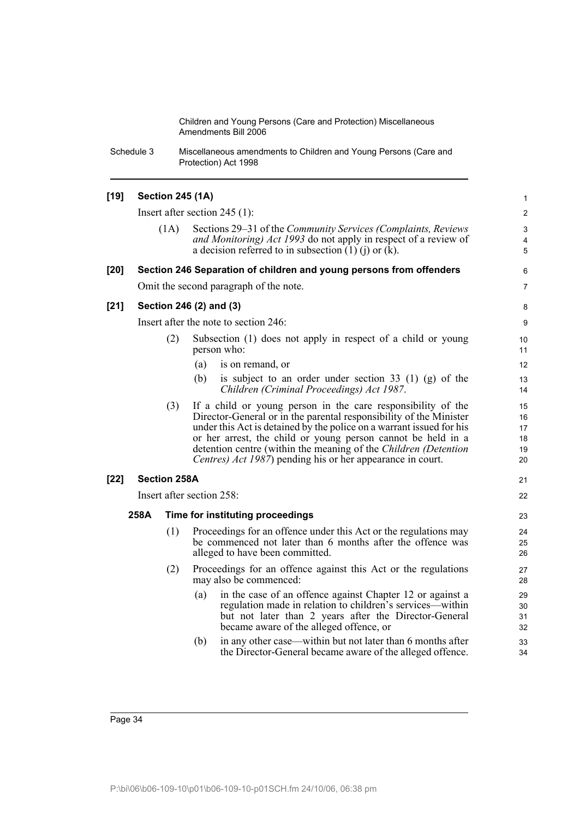Schedule 3 Miscellaneous amendments to Children and Young Persons (Care and Protection) Act 1998

#### **[19] Section 245 (1A)**

Insert after section 245 (1):

(1A) Sections 29–31 of the *Community Services (Complaints, Reviews and Monitoring) Act 1993* do not apply in respect of a review of a decision referred to in subsection  $(1)$   $(i)$  or  $(k)$ .

21 22

### **[20] Section 246 Separation of children and young persons from offenders** Omit the second paragraph of the note.

**[21] Section 246 (2) and (3)**

Insert after the note to section 246:

- (2) Subsection (1) does not apply in respect of a child or young person who:
	- (a) is on remand, or
	- (b) is subject to an order under section 33 (1) (g) of the *Children (Criminal Proceedings) Act 1987*.
- (3) If a child or young person in the care responsibility of the Director-General or in the parental responsibility of the Minister under this Act is detained by the police on a warrant issued for his or her arrest, the child or young person cannot be held in a detention centre (within the meaning of the *Children (Detention Centres) Act 1987*) pending his or her appearance in court.

#### **[22] Section 258A**

Insert after section 258:

#### **258A Time for instituting proceedings**

- (1) Proceedings for an offence under this Act or the regulations may be commenced not later than 6 months after the offence was alleged to have been committed.
- (2) Proceedings for an offence against this Act or the regulations may also be commenced:
	- (a) in the case of an offence against Chapter 12 or against a regulation made in relation to children's services—within but not later than 2 years after the Director-General became aware of the alleged offence, or
	- (b) in any other case—within but not later than 6 months after the Director-General became aware of the alleged offence.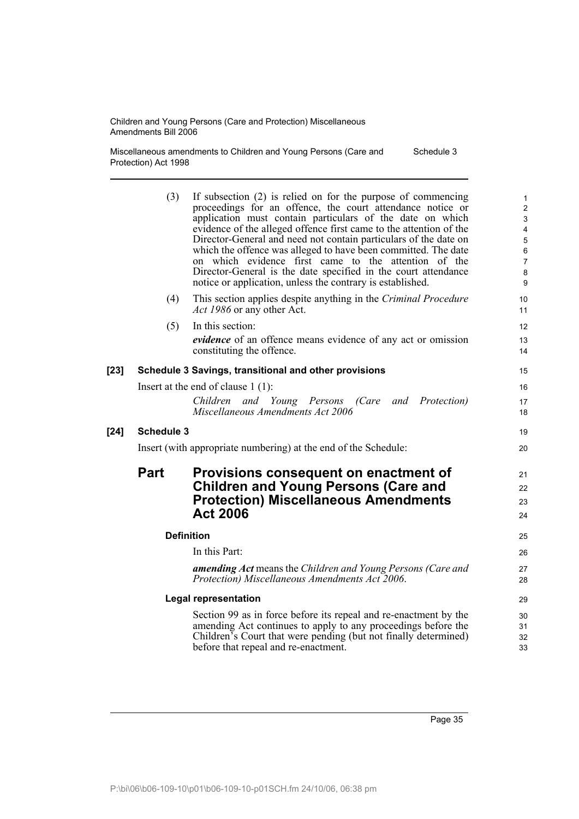Miscellaneous amendments to Children and Young Persons (Care and Protection) Act 1998 Schedule 3

|        | (3)         | If subsection (2) is relied on for the purpose of commencing<br>proceedings for an offence, the court attendance notice or<br>application must contain particulars of the date on which<br>evidence of the alleged offence first came to the attention of the<br>Director-General and need not contain particulars of the date on<br>which the offence was alleged to have been committed. The date<br>on which evidence first came to the attention of the<br>Director-General is the date specified in the court attendance<br>notice or application, unless the contrary is established. | 1<br>$\overline{2}$<br>$\ensuremath{\mathsf{3}}$<br>$\overline{\mathbf{4}}$<br>$\overline{5}$<br>$\,6\,$<br>$\overline{7}$<br>8<br>9 |
|--------|-------------|---------------------------------------------------------------------------------------------------------------------------------------------------------------------------------------------------------------------------------------------------------------------------------------------------------------------------------------------------------------------------------------------------------------------------------------------------------------------------------------------------------------------------------------------------------------------------------------------|--------------------------------------------------------------------------------------------------------------------------------------|
|        | (4)         | This section applies despite anything in the Criminal Procedure<br><i>Act 1986</i> or any other Act.                                                                                                                                                                                                                                                                                                                                                                                                                                                                                        | 10<br>11                                                                                                                             |
|        | (5)         | In this section:<br>evidence of an offence means evidence of any act or omission<br>constituting the offence.                                                                                                                                                                                                                                                                                                                                                                                                                                                                               | 12<br>13<br>14                                                                                                                       |
| $[23]$ |             | Schedule 3 Savings, transitional and other provisions                                                                                                                                                                                                                                                                                                                                                                                                                                                                                                                                       | 15                                                                                                                                   |
|        |             | Insert at the end of clause $1(1)$ :                                                                                                                                                                                                                                                                                                                                                                                                                                                                                                                                                        | 16                                                                                                                                   |
|        |             | Children and Young Persons<br>(Care<br>and Protection)<br>Miscellaneous Amendments Act 2006                                                                                                                                                                                                                                                                                                                                                                                                                                                                                                 | 17<br>18                                                                                                                             |
| $[24]$ | Schedule 3  |                                                                                                                                                                                                                                                                                                                                                                                                                                                                                                                                                                                             | 19                                                                                                                                   |
|        |             | Insert (with appropriate numbering) at the end of the Schedule:                                                                                                                                                                                                                                                                                                                                                                                                                                                                                                                             | 20                                                                                                                                   |
|        | <b>Part</b> | Provisions consequent on enactment of<br><b>Children and Young Persons (Care and</b><br><b>Protection) Miscellaneous Amendments</b><br><b>Act 2006</b>                                                                                                                                                                                                                                                                                                                                                                                                                                      | 21<br>22<br>23<br>24                                                                                                                 |
|        |             | <b>Definition</b>                                                                                                                                                                                                                                                                                                                                                                                                                                                                                                                                                                           | 25                                                                                                                                   |
|        |             | In this Part:                                                                                                                                                                                                                                                                                                                                                                                                                                                                                                                                                                               | 26                                                                                                                                   |
|        |             | <b>amending Act</b> means the Children and Young Persons (Care and<br>Protection) Miscellaneous Amendments Act 2006.                                                                                                                                                                                                                                                                                                                                                                                                                                                                        | 27<br>28                                                                                                                             |
|        |             | <b>Legal representation</b>                                                                                                                                                                                                                                                                                                                                                                                                                                                                                                                                                                 | 29                                                                                                                                   |
|        |             | Section 99 as in force before its repeal and re-enactment by the<br>amending Act continues to apply to any proceedings before the<br>Children's Court that were pending (but not finally determined)<br>before that repeal and re-enactment.                                                                                                                                                                                                                                                                                                                                                | 30<br>31<br>32<br>33                                                                                                                 |
|        |             |                                                                                                                                                                                                                                                                                                                                                                                                                                                                                                                                                                                             |                                                                                                                                      |

Page 35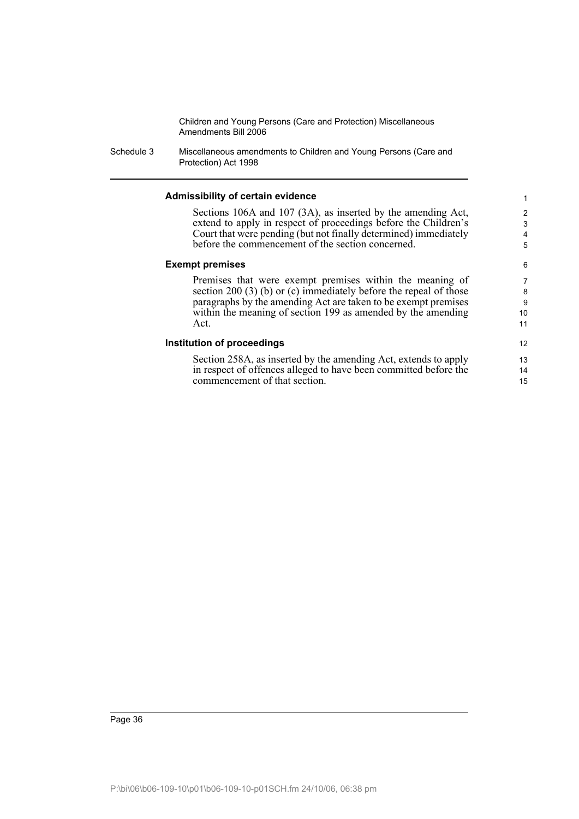Schedule 3 Miscellaneous amendments to Children and Young Persons (Care and Protection) Act 1998

#### **Admissibility of certain evidence**

Sections 106A and 107 (3A), as inserted by the amending Act, extend to apply in respect of proceedings before the Children's Court that were pending (but not finally determined) immediately before the commencement of the section concerned.

#### **Exempt premises**

Premises that were exempt premises within the meaning of section 200 (3) (b) or (c) immediately before the repeal of those paragraphs by the amending Act are taken to be exempt premises within the meaning of section 199 as amended by the amending Act.

#### **Institution of proceedings**

Section 258A, as inserted by the amending Act, extends to apply in respect of offences alleged to have been committed before the commencement of that section.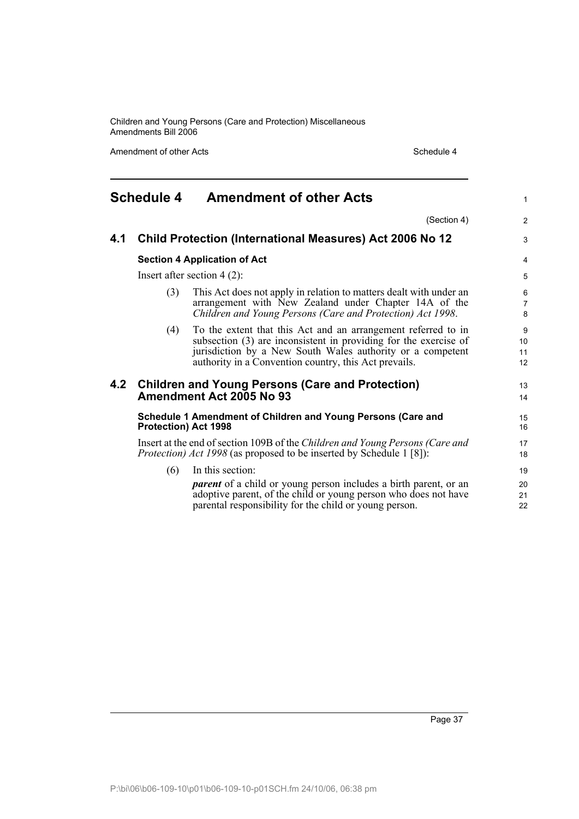Amendment of other Acts Schedule 4

<span id="page-50-0"></span>

| <b>Schedule 4</b> |                             | <b>Amendment of other Acts</b>                                                                                                                                                                                                                           |                          |  |  |
|-------------------|-----------------------------|----------------------------------------------------------------------------------------------------------------------------------------------------------------------------------------------------------------------------------------------------------|--------------------------|--|--|
|                   |                             | (Section 4)                                                                                                                                                                                                                                              | 2                        |  |  |
| 4.1               |                             | <b>Child Protection (International Measures) Act 2006 No 12</b>                                                                                                                                                                                          | 3                        |  |  |
|                   |                             | <b>Section 4 Application of Act</b>                                                                                                                                                                                                                      | $\overline{4}$           |  |  |
|                   |                             | Insert after section $4(2)$ :                                                                                                                                                                                                                            | 5                        |  |  |
|                   | (3)                         | This Act does not apply in relation to matters dealt with under an<br>arrangement with New Zealand under Chapter 14A of the<br>Children and Young Persons (Care and Protection) Act 1998.                                                                | 6<br>$\overline{7}$<br>8 |  |  |
|                   | (4)                         | To the extent that this Act and an arrangement referred to in<br>subsection (3) are inconsistent in providing for the exercise of<br>jurisdiction by a New South Wales authority or a competent<br>authority in a Convention country, this Act prevails. | 9<br>10<br>11<br>12      |  |  |
| 4.2               |                             | <b>Children and Young Persons (Care and Protection)</b><br>Amendment Act 2005 No 93                                                                                                                                                                      | 13<br>14                 |  |  |
|                   | <b>Protection) Act 1998</b> | Schedule 1 Amendment of Children and Young Persons (Care and                                                                                                                                                                                             | 15<br>16                 |  |  |
|                   |                             | Insert at the end of section 109B of the Children and Young Persons (Care and<br><i>Protection) Act 1998</i> (as proposed to be inserted by Schedule 1 [8]):                                                                                             | 17<br>18                 |  |  |
|                   | (6)                         | In this section:<br><i>parent</i> of a child or young person includes a birth parent, or an<br>adoptive parent, of the child or young person who does not have<br>parental responsibility for the child or young person.                                 | 19<br>20<br>21<br>22     |  |  |

Page 37